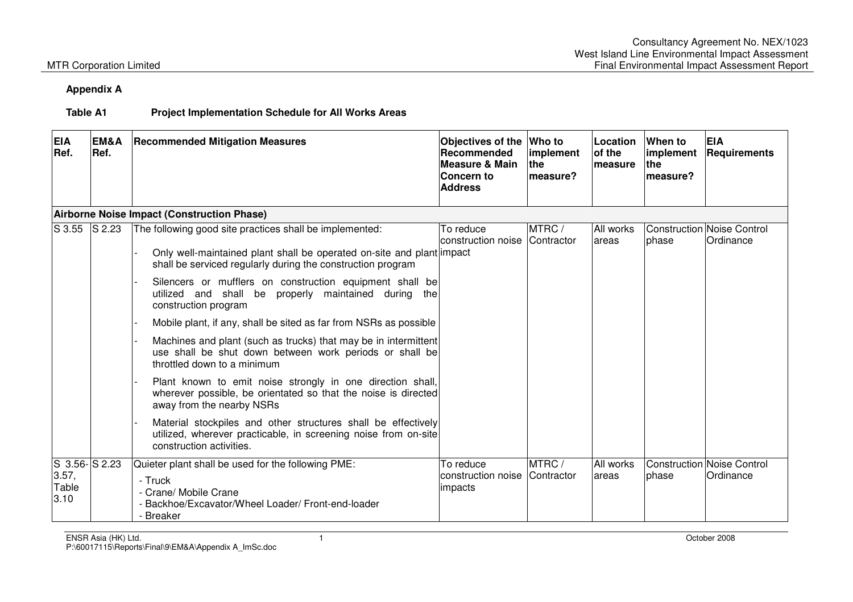## **Appendix A**

### **Table A1 Project Implementation Schedule for All Works Areas**

| <b>EIA</b><br>Ref.                           | EM&A<br>Ref. | <b>Recommended Mitigation Measures</b>                                                                                                                                                                                                                                                                                                      | Objectives of the<br><b>Recommended</b><br>Measure & Main<br><b>Concern to</b><br><b>Address</b> | Who to<br>implement<br>the<br>measure? | Location<br>of the<br><b>Imeasure</b> | When to<br>implement<br>lthe.<br>measure? | <b>EIA</b><br>Requirements              |
|----------------------------------------------|--------------|---------------------------------------------------------------------------------------------------------------------------------------------------------------------------------------------------------------------------------------------------------------------------------------------------------------------------------------------|--------------------------------------------------------------------------------------------------|----------------------------------------|---------------------------------------|-------------------------------------------|-----------------------------------------|
|                                              |              | Airborne Noise Impact (Construction Phase)                                                                                                                                                                                                                                                                                                  |                                                                                                  |                                        |                                       |                                           |                                         |
| S 3.55                                       | S 2.23       | The following good site practices shall be implemented:<br>Only well-maintained plant shall be operated on-site and plant impact<br>shall be serviced regularly during the construction program<br>Silencers or mufflers on construction equipment shall be<br>utilized and shall be properly maintained during the<br>construction program | To reduce<br>construction noise                                                                  | MTRC /<br>Contractor                   | All works<br>lareas                   | bhase                                     | Construction Noise Control<br>Ordinance |
|                                              |              | Mobile plant, if any, shall be sited as far from NSRs as possible                                                                                                                                                                                                                                                                           |                                                                                                  |                                        |                                       |                                           |                                         |
|                                              |              | Machines and plant (such as trucks) that may be in intermittent<br>use shall be shut down between work periods or shall be<br>throttled down to a minimum                                                                                                                                                                                   |                                                                                                  |                                        |                                       |                                           |                                         |
|                                              |              | Plant known to emit noise strongly in one direction shall,<br>wherever possible, be orientated so that the noise is directed<br>away from the nearby NSRs                                                                                                                                                                                   |                                                                                                  |                                        |                                       |                                           |                                         |
|                                              |              | Material stockpiles and other structures shall be effectively<br>utilized, wherever practicable, in screening noise from on-site<br>construction activities.                                                                                                                                                                                |                                                                                                  |                                        |                                       |                                           |                                         |
| $S$ 3.56- $S$ 2.23<br>3.57,<br>Table<br>3.10 |              | Quieter plant shall be used for the following PME:<br>- Truck<br>- Crane/ Mobile Crane<br>Backhoe/Excavator/Wheel Loader/ Front-end-loader<br><b>Breaker</b>                                                                                                                                                                                | To reduce<br>construction noise<br>impacts                                                       | MTRC/<br><b>Contractor</b>             | All works<br>lareas                   | phase                                     | Construction Noise Control<br>Ordinance |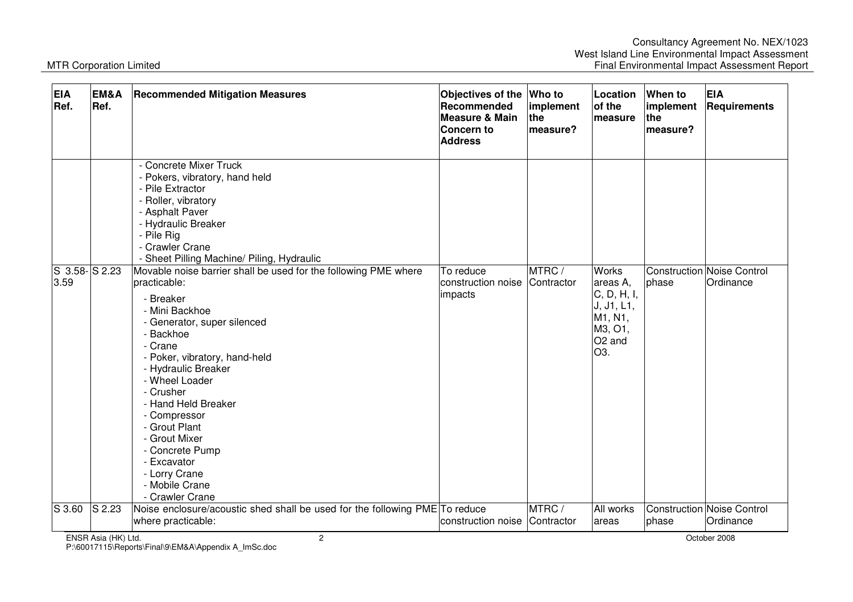| <b>EIA</b><br>Ref.    | EM&A<br>Ref. | <b>Recommended Mitigation Measures</b>                                                                                                                                                                                                                                                                                                                                                                                                                                                                                                                                                                                                                        | Objectives of the<br>Recommended<br><b>Measure &amp; Main</b><br><b>Concern to</b><br><b>Address</b> | Who to<br>implement<br>the<br>measure? | Location<br>of the<br>measure                                                                                  | When to<br>implement<br>the<br>measure? | <b>EIA</b><br>Requirements                     |
|-----------------------|--------------|---------------------------------------------------------------------------------------------------------------------------------------------------------------------------------------------------------------------------------------------------------------------------------------------------------------------------------------------------------------------------------------------------------------------------------------------------------------------------------------------------------------------------------------------------------------------------------------------------------------------------------------------------------------|------------------------------------------------------------------------------------------------------|----------------------------------------|----------------------------------------------------------------------------------------------------------------|-----------------------------------------|------------------------------------------------|
| S 3.58-S 2.23<br>3.59 |              | - Concrete Mixer Truck<br>- Pokers, vibratory, hand held<br>- Pile Extractor<br>- Roller, vibratory<br>- Asphalt Paver<br>- Hydraulic Breaker<br>- Pile Rig<br>- Crawler Crane<br>- Sheet Pilling Machine/ Piling, Hydraulic<br>Movable noise barrier shall be used for the following PME where<br>practicable:<br>- Breaker<br>- Mini Backhoe<br>- Generator, super silenced<br>- Backhoe<br>- Crane<br>- Poker, vibratory, hand-held<br>- Hydraulic Breaker<br>- Wheel Loader<br>- Crusher<br>- Hand Held Breaker<br>- Compressor<br>- Grout Plant<br>- Grout Mixer<br>- Concrete Pump<br>- Excavator<br>- Lorry Crane<br>- Mobile Crane<br>- Crawler Crane | To reduce<br>construction noise<br>impacts                                                           | MTRC/<br>Contractor                    | Works<br>areas A,<br>C, D, H, I,<br>J, J1, L1,<br>M1, N1,<br>M3, O1,<br>O <sub>2</sub> and<br>O <sub>3</sub> . | phase                                   | <b>Construction Noise Control</b><br>Ordinance |
| S 3.60                | $S$ 2.23     | Noise enclosure/acoustic shed shall be used for the following PME To reduce<br>where practicable:                                                                                                                                                                                                                                                                                                                                                                                                                                                                                                                                                             | construction noise                                                                                   | MTRC/<br>Contractor                    | All works<br>areas                                                                                             | phase                                   | <b>Construction Noise Control</b><br>Ordinance |

P:\60017115\Reports\Final\9\EM&A\Appendix A\_ImSc.doc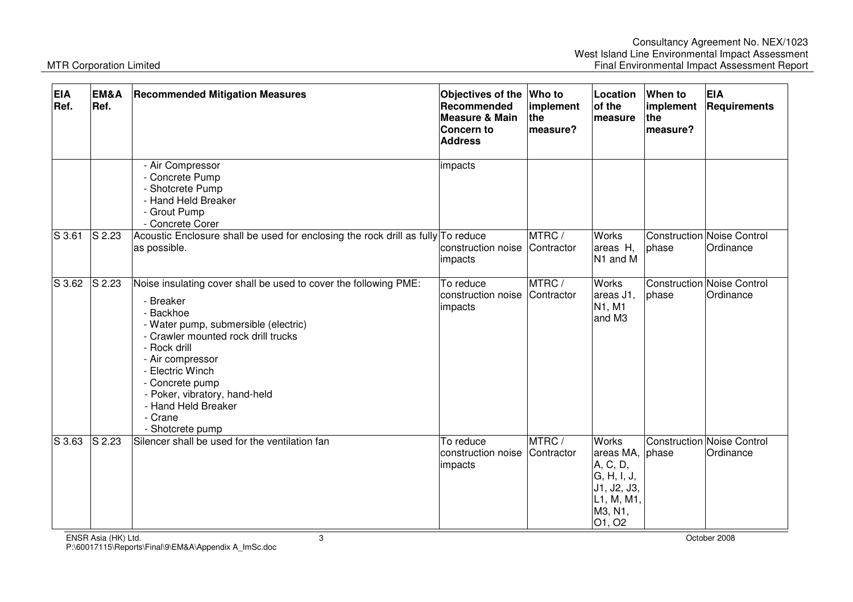| <b>EIA</b><br>Ref. | EM&A<br>Ref. | <b>Recommended Mitigation Measures</b>                                                                                                                                                                                                                                                                                                      | Objectives of the<br>Recommended<br><b>Measure &amp; Main</b><br>Concern to<br><b>Address</b> | Who to<br>implement<br>the<br>measure? | Location<br>of the<br>measure                                                                                | When to<br>implement<br>the<br>measure? | <b>EIA</b><br>Requirements                     |
|--------------------|--------------|---------------------------------------------------------------------------------------------------------------------------------------------------------------------------------------------------------------------------------------------------------------------------------------------------------------------------------------------|-----------------------------------------------------------------------------------------------|----------------------------------------|--------------------------------------------------------------------------------------------------------------|-----------------------------------------|------------------------------------------------|
|                    |              | - Air Compressor<br>- Concrete Pump<br>- Shotcrete Pump<br>- Hand Held Breaker<br>- Grout Pump<br>- Concrete Corer                                                                                                                                                                                                                          | impacts                                                                                       |                                        |                                                                                                              |                                         |                                                |
| S 3.61             | $S$ 2.23     | Acoustic Enclosure shall be used for enclosing the rock drill as fully To reduce<br>as possible.                                                                                                                                                                                                                                            | construction noise<br>impacts                                                                 | MTRC/<br>Contractor                    | <b>Works</b><br>areas H,<br>N <sub>1</sub> and M                                                             | phase                                   | <b>Construction Noise Control</b><br>Ordinance |
| S 3.62             | S 2.23       | Noise insulating cover shall be used to cover the following PME:<br>- Breaker<br>- Backhoe<br>- Water pump, submersible (electric)<br>- Crawler mounted rock drill trucks<br>- Rock drill<br>- Air compressor<br>- Electric Winch<br>- Concrete pump<br>- Poker, vibratory, hand-held<br>- Hand Held Breaker<br>- Crane<br>- Shotcrete pump | To reduce<br>construction noise<br>impacts                                                    | MTRC/<br>Contractor                    | <b>Works</b><br>areas J1,<br>N1, M1<br>and M3                                                                | phase                                   | Construction Noise Control<br>Ordinance        |
| S 3.63             | S 2.23       | Silencer shall be used for the ventilation fan                                                                                                                                                                                                                                                                                              | To reduce<br>construction noise<br>impacts                                                    | MTRC/<br>Contractor                    | <b>Works</b><br>areas MA, phase<br>A, C, D,<br>G, H, I, J,<br>J1, J2, J3,<br>L1, M, M1,<br>M3, N1,<br>O1, O2 |                                         | Construction Noise Control<br>Ordinance        |

ENSR Asia (HK) Ltd. 3 October 2008 P:\60017115\Reports\Final\9\EM&A\Appendix A\_ImSc.doc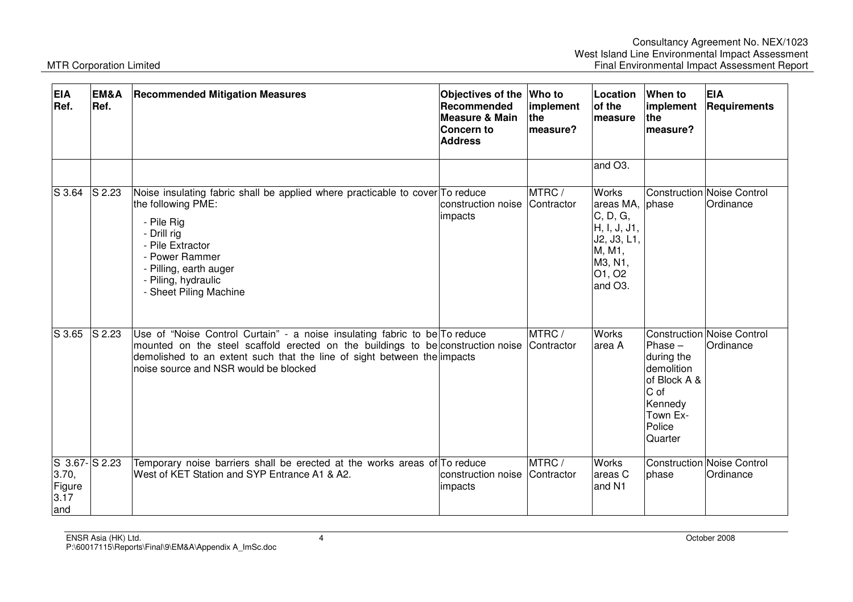| <b>EIA</b><br>Ref.                                   | EM&A<br>Ref.                 | <b>Recommended Mitigation Measures</b>                                                                                                                                                                                                                                            | Objectives of the Who to<br>Recommended<br><b>Measure &amp; Main</b><br>Concern to<br><b>Address</b> | implement<br><b>the</b><br>measure? | Location<br>of the<br>measure                                                                                        | <b>When to</b><br>implement<br><b>the</b><br>measure?                                                     | <b>EIA</b><br>Requirements                     |
|------------------------------------------------------|------------------------------|-----------------------------------------------------------------------------------------------------------------------------------------------------------------------------------------------------------------------------------------------------------------------------------|------------------------------------------------------------------------------------------------------|-------------------------------------|----------------------------------------------------------------------------------------------------------------------|-----------------------------------------------------------------------------------------------------------|------------------------------------------------|
|                                                      |                              |                                                                                                                                                                                                                                                                                   |                                                                                                      |                                     | and O <sub>3</sub> .                                                                                                 |                                                                                                           |                                                |
| S 3.64                                               | $S$ 2.23                     | Noise insulating fabric shall be applied where practicable to cover To reduce<br>the following PME:<br>- Pile Rig<br>- Drill rig<br>- Pile Extractor<br>- Power Rammer<br>- Pilling, earth auger<br>- Piling, hydraulic<br>- Sheet Piling Machine                                 | construction noise<br>impacts                                                                        | MTRC/<br>Contractor                 | <b>Works</b><br>areas MA, phase<br>C, D, G,<br>H, I, J, J1,<br>J2, J3, L1,<br>M, M1,<br>M3, N1,<br>01, 02<br>and O3. |                                                                                                           | Construction Noise Control<br>Ordinance        |
| $S$ 3.65                                             | $\overline{\mathsf{S}}$ 2.23 | Use of "Noise Control Curtain" - a noise insulating fabric to be To reduce<br>mounted on the steel scaffold erected on the buildings to be construction noise<br>demolished to an extent such that the line of sight between the impacts<br>noise source and NSR would be blocked |                                                                                                      | MTRC/<br>Contractor                 | <b>Works</b><br>area A                                                                                               | Phase $-$<br>during the<br>demolition<br>of Block A &<br>C of<br>Kennedy<br>Town Ex-<br>Police<br>Quarter | <b>Construction Noise Control</b><br>Ordinance |
| $S$ 3.67- $S$ 2.23<br>3.70,<br>Figure<br>3.17<br>and |                              | Temporary noise barriers shall be erected at the works areas of To reduce<br>West of KET Station and SYP Entrance A1 & A2.                                                                                                                                                        | construction noise<br>impacts                                                                        | MTRC/<br>Contractor                 | <b>Works</b><br>areas C<br>and N1                                                                                    | phase                                                                                                     | <b>Construction Noise Control</b><br>Ordinance |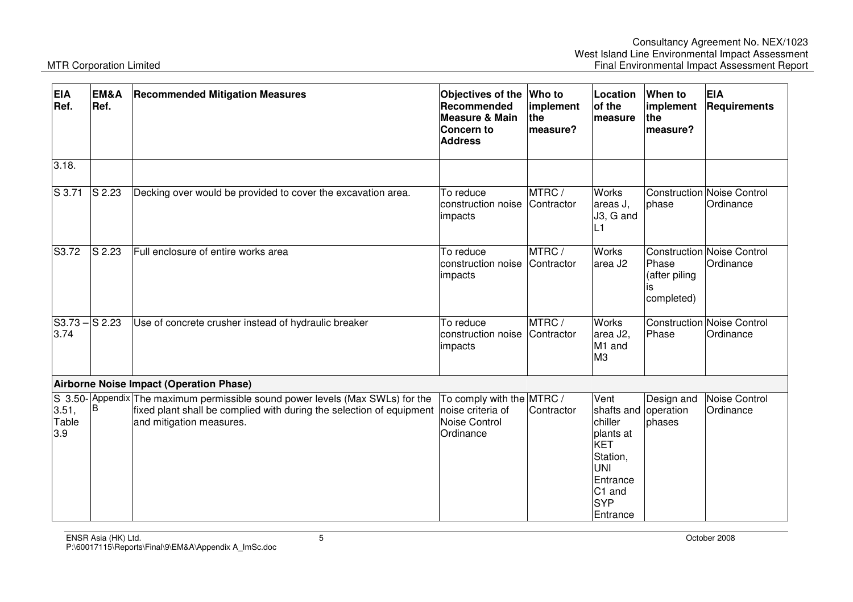| <b>EIA</b><br>Ref.      | EM&A<br>Ref.        | <b>Recommended Mitigation Measures</b>                                                                                                                                                               | Objectives of the<br>Recommended<br><b>Measure &amp; Main</b><br>Concern to<br><b>Address</b> | Who to<br>implement<br>the<br>measure? | Location<br>of the<br>measure                                                                                                                     | <b>When to</b><br>implement<br>the<br>measure? | <b>EIA</b><br>Requirements              |
|-------------------------|---------------------|------------------------------------------------------------------------------------------------------------------------------------------------------------------------------------------------------|-----------------------------------------------------------------------------------------------|----------------------------------------|---------------------------------------------------------------------------------------------------------------------------------------------------|------------------------------------------------|-----------------------------------------|
| 3.18.                   |                     |                                                                                                                                                                                                      |                                                                                               |                                        |                                                                                                                                                   |                                                |                                         |
| S 3.71                  | S 2.23              | Decking over would be provided to cover the excavation area.                                                                                                                                         | To reduce<br>construction noise<br>impacts                                                    | MTRC/<br>Contractor                    | <b>Works</b><br>areas J,<br>J3, G and<br>L1                                                                                                       | phase                                          | Construction Noise Control<br>Ordinance |
| S3.72                   | $\overline{S}$ 2.23 | Full enclosure of entire works area                                                                                                                                                                  | To reduce<br>construction noise<br>impacts                                                    | MTRC/<br>Contractor                    | Works<br>area J2                                                                                                                                  | Phase<br>(after piling<br>IS<br>completed)     | Construction Noise Control<br>Ordinance |
| $S3.73 - S2.23$<br>3.74 |                     | Use of concrete crusher instead of hydraulic breaker                                                                                                                                                 | To reduce<br>construction noise<br>impacts                                                    | MTRC/<br>Contractor                    | <b>Works</b><br>area J2,<br>M <sub>1</sub> and<br>МЗ                                                                                              | Phase                                          | Construction Noise Control<br>Ordinance |
|                         |                     | Airborne Noise Impact (Operation Phase)                                                                                                                                                              |                                                                                               |                                        |                                                                                                                                                   |                                                |                                         |
| 3.51,<br>Table<br>3.9   | B                   | S 3.50- Appendix The maximum permissible sound power levels (Max SWLs) for the<br>fixed plant shall be complied with during the selection of equipment noise criteria of<br>and mitigation measures. | To comply with the MTRC /<br>Noise Control<br>Ordinance                                       | Contractor                             | Vent<br>shafts and operation<br>chiller<br>plants at<br>KET<br>Station,<br><b>UNI</b><br>Entrance<br>C <sub>1</sub> and<br><b>SYP</b><br>Entrance | Design and<br>phases                           | Noise Control<br>Ordinance              |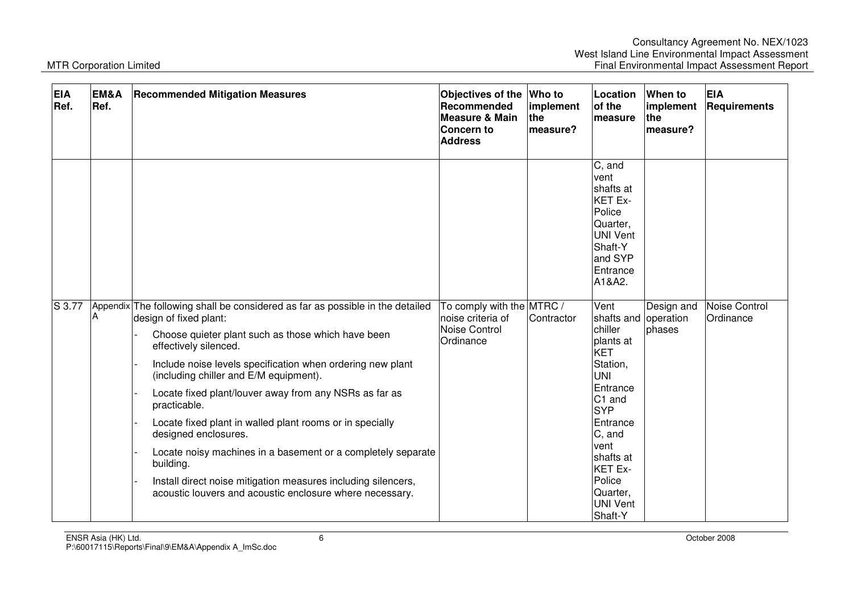| <b>EIA</b><br>Ref. | EM&A<br>Ref. | <b>Recommended Mitigation Measures</b>                                                                                                                                                                                                                                                                                                                                                                                                                                                                                                                                                                                                                                 | Objectives of the<br>Recommended<br><b>Measure &amp; Main</b><br>Concern to<br><b>Address</b> | Who to<br>implement<br><b>the</b><br>measure? | Location<br>of the<br>lmeasure                                                                                                                                                                                                               | When to<br>implement<br>lthe<br>measure? | <b>EIA</b><br><b>Requirements</b> |
|--------------------|--------------|------------------------------------------------------------------------------------------------------------------------------------------------------------------------------------------------------------------------------------------------------------------------------------------------------------------------------------------------------------------------------------------------------------------------------------------------------------------------------------------------------------------------------------------------------------------------------------------------------------------------------------------------------------------------|-----------------------------------------------------------------------------------------------|-----------------------------------------------|----------------------------------------------------------------------------------------------------------------------------------------------------------------------------------------------------------------------------------------------|------------------------------------------|-----------------------------------|
|                    |              |                                                                                                                                                                                                                                                                                                                                                                                                                                                                                                                                                                                                                                                                        |                                                                                               |                                               | C, and<br>vent<br>shafts at<br>KET Ex-<br>Police<br>Quarter,<br>UNI Vent<br>Shaft-Y<br>and SYP<br>Entrance<br>A1&A2.                                                                                                                         |                                          |                                   |
| $S$ 3.77           | Α            | Appendix The following shall be considered as far as possible in the detailed<br>design of fixed plant:<br>Choose quieter plant such as those which have been<br>effectively silenced.<br>Include noise levels specification when ordering new plant<br>(including chiller and E/M equipment).<br>Locate fixed plant/louver away from any NSRs as far as<br>practicable.<br>Locate fixed plant in walled plant rooms or in specially<br>designed enclosures.<br>Locate noisy machines in a basement or a completely separate<br>building.<br>Install direct noise mitigation measures including silencers,<br>acoustic louvers and acoustic enclosure where necessary. | To comply with the MTRC /<br>noise criteria of<br>Noise Control<br>Ordinance                  | Contractor                                    | Vent<br>shafts and<br>chiller<br>plants at<br><b>KET</b><br>Station,<br><b>UNI</b><br>Entrance<br>C <sub>1</sub> and<br><b>SYP</b><br>Entrance<br>C, and<br>vent<br>shafts at<br>KET Ex-<br>Police<br>Quarter,<br><b>UNI Vent</b><br>Shaft-Y | Design and<br>operation<br>phases        | <b>Noise Control</b><br>Ordinance |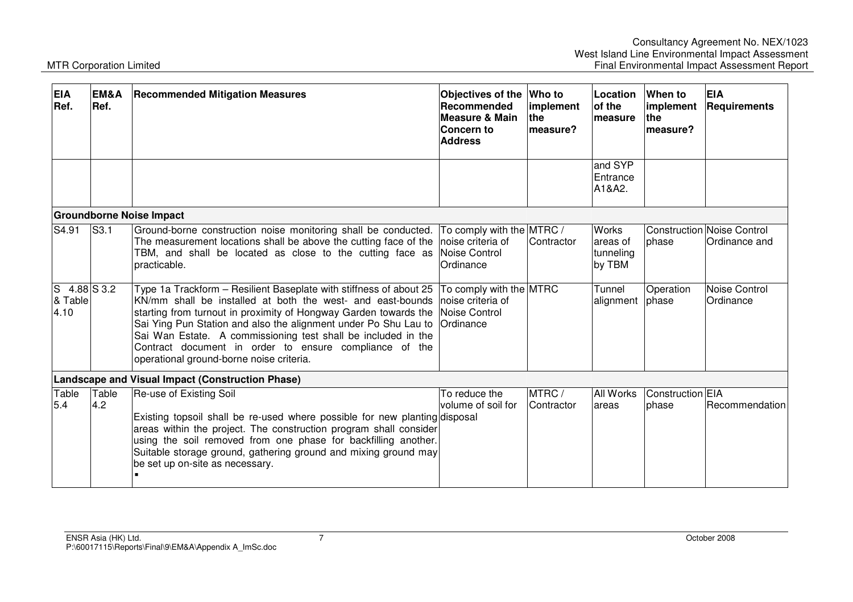| <b>EIA</b><br>Ref.     | EM&A<br>Ref.             | <b>Recommended Mitigation Measures</b>                                                                                                                                                                                                                                                                                                                                                                                                         | Objectives of the<br>Recommended<br>Measure & Main<br>Concern to<br><b>Address</b> | <b>Who to</b><br>implement<br><b>the</b><br>measure? | Location<br>of the<br>measure                   | <b>When to</b><br>implement<br>the<br>measure? | <b>EIA</b><br><b>Requirements</b>            |
|------------------------|--------------------------|------------------------------------------------------------------------------------------------------------------------------------------------------------------------------------------------------------------------------------------------------------------------------------------------------------------------------------------------------------------------------------------------------------------------------------------------|------------------------------------------------------------------------------------|------------------------------------------------------|-------------------------------------------------|------------------------------------------------|----------------------------------------------|
|                        |                          |                                                                                                                                                                                                                                                                                                                                                                                                                                                |                                                                                    |                                                      | and SYP<br>Entrance<br>A1&A2.                   |                                                |                                              |
|                        |                          | <b>Groundborne Noise Impact</b>                                                                                                                                                                                                                                                                                                                                                                                                                |                                                                                    |                                                      |                                                 |                                                |                                              |
| S4.91                  | $\overline{\text{S}3.1}$ | Ground-borne construction noise monitoring shall be conducted.<br>The measurement locations shall be above the cutting face of the<br>TBM, and shall be located as close to the cutting face as<br>practicable.                                                                                                                                                                                                                                | To comply with the MTRC /<br>noise criteria of<br>Noise Control<br>Ordinance       | Contractor                                           | <b>Works</b><br>areas of<br>tunneling<br>by TBM | <b>l</b> phase                                 | Construction Noise Control<br>lOrdinance and |
| lS.<br>& Table<br>4.10 | $4.88$ S 3.2             | Type 1a Trackform - Resilient Baseplate with stiffness of about 25<br>KN/mm shall be installed at both the west- and east-bounds<br>starting from turnout in proximity of Hongway Garden towards the<br>Sai Ying Pun Station and also the alignment under Po Shu Lau to<br>Sai Wan Estate. A commissioning test shall be included in the<br>Contract document in order to ensure compliance of the<br>operational ground-borne noise criteria. | To comply with the MTRC<br>noise criteria of<br>Noise Control<br>Ordinance         |                                                      | Tunnel<br>alignment phase                       | Operation                                      | Noise Control<br>Ordinance                   |
|                        |                          | Landscape and Visual Impact (Construction Phase)                                                                                                                                                                                                                                                                                                                                                                                               |                                                                                    |                                                      |                                                 |                                                |                                              |
| Table<br>5.4           | Table<br>4.2             | Re-use of Existing Soil<br>Existing topsoil shall be re-used where possible for new planting disposal<br>areas within the project. The construction program shall consider<br>using the soil removed from one phase for backfilling another.<br>Suitable storage ground, gathering ground and mixing ground may<br>be set up on-site as necessary.                                                                                             | To reduce the<br>volume of soil for                                                | MTRC /<br>Contractor                                 | All Works<br>lareas                             | Construction EIA<br>phase                      | <b>Recommendation</b>                        |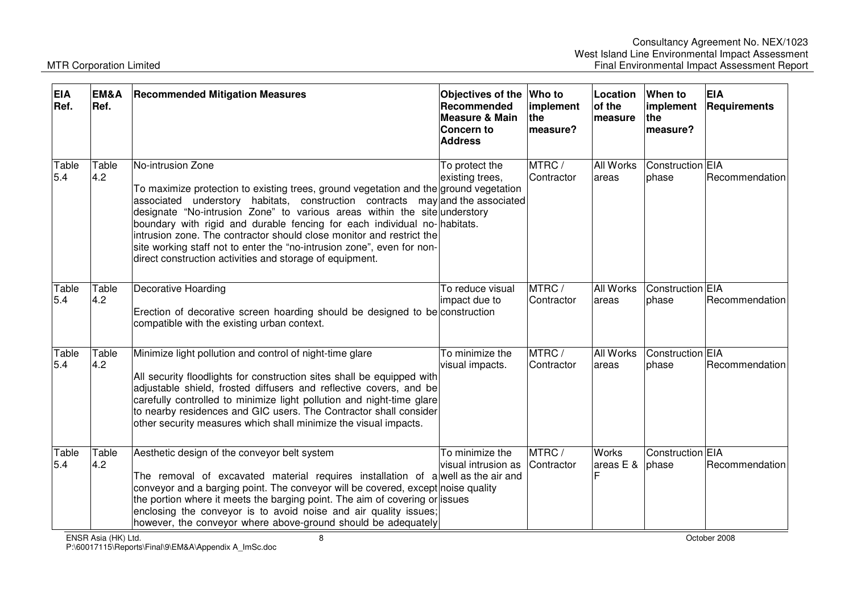| <b>EIA</b><br>Ref. | EM&A<br>Ref. | <b>Recommended Mitigation Measures</b>                                                                                                                                                                                                                                                                                                                                                                                                                                                                                                                              | Objectives of the Who to<br>Recommended<br><b>Measure &amp; Main</b><br>Concern to<br><b>Address</b> | implement<br>the<br>measure? | Location<br>of the<br>measure     | When to<br>implement<br>the<br>measure? | <b>EIA</b><br>Requirements |
|--------------------|--------------|---------------------------------------------------------------------------------------------------------------------------------------------------------------------------------------------------------------------------------------------------------------------------------------------------------------------------------------------------------------------------------------------------------------------------------------------------------------------------------------------------------------------------------------------------------------------|------------------------------------------------------------------------------------------------------|------------------------------|-----------------------------------|-----------------------------------------|----------------------------|
| Table<br>5.4       | Table<br>4.2 | No-intrusion Zone<br>To maximize protection to existing trees, ground vegetation and the ground vegetation<br>associated understory habitats, construction contracts may and the associated<br>designate "No-intrusion Zone" to various areas within the site understory<br>boundary with rigid and durable fencing for each individual no- habitats.<br>intrusion zone. The contractor should close monitor and restrict the<br>site working staff not to enter the "no-intrusion zone", even for non-<br>direct construction activities and storage of equipment. | To protect the<br>existing trees,                                                                    | MTRC/<br>Contractor          | <b>All Works</b><br>areas         | Construction EIA<br>phase               | Recommendation             |
| Table<br>5.4       | Table<br>4.2 | Decorative Hoarding<br>Erection of decorative screen hoarding should be designed to be construction<br>compatible with the existing urban context.                                                                                                                                                                                                                                                                                                                                                                                                                  | To reduce visual<br>impact due to                                                                    | MTRC/<br>Contractor          | <b>All Works</b><br>areas         | Construction EIA<br>phase               | Recommendation             |
| Table<br>5.4       | Table<br>4.2 | Minimize light pollution and control of night-time glare<br>All security floodlights for construction sites shall be equipped with<br>adjustable shield, frosted diffusers and reflective covers, and be<br>carefully controlled to minimize light pollution and night-time glare<br>to nearby residences and GIC users. The Contractor shall consider<br>other security measures which shall minimize the visual impacts.                                                                                                                                          | To minimize the<br>visual impacts.                                                                   | MTRC/<br>Contractor          | <b>All Works</b><br>areas         | Construction EIA<br>phase               | Recommendation             |
| Table<br>5.4       | Table<br>4.2 | Aesthetic design of the conveyor belt system<br>The removal of excavated material requires installation of a well as the air and<br>conveyor and a barging point. The conveyor will be covered, except noise quality<br>the portion where it meets the barging point. The aim of covering or issues<br>enclosing the conveyor is to avoid noise and air quality issues;<br>however, the conveyor where above-ground should be adequately                                                                                                                            | To minimize the<br>visual intrusion as                                                               | MTRC/<br>Contractor          | <b>Works</b><br>areas $E &$ phase | Construction EIA                        | Recommendation             |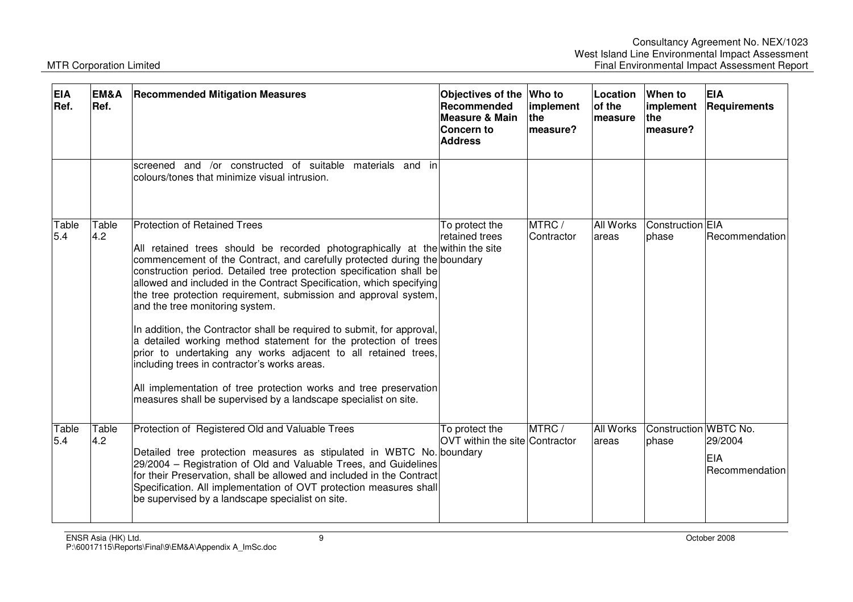| <b>EIA</b><br>Ref. | EM&A<br>Ref. | <b>Recommended Mitigation Measures</b>                                                                                                                                                                                                                                                                                                                                                                                                                                                                                                                                                                                                                                                                                                                                                                                                                          | Objectives of the Who to<br>Recommended<br>Measure & Main<br>Concern to<br><b>Address</b> | implement<br>the<br>lmeasure? | Location<br>of the<br>measure | When to<br>implement<br>the<br>measure? | <b>EIA</b><br>Requirements               |
|--------------------|--------------|-----------------------------------------------------------------------------------------------------------------------------------------------------------------------------------------------------------------------------------------------------------------------------------------------------------------------------------------------------------------------------------------------------------------------------------------------------------------------------------------------------------------------------------------------------------------------------------------------------------------------------------------------------------------------------------------------------------------------------------------------------------------------------------------------------------------------------------------------------------------|-------------------------------------------------------------------------------------------|-------------------------------|-------------------------------|-----------------------------------------|------------------------------------------|
|                    |              | screened and /or constructed of suitable materials and in<br>colours/tones that minimize visual intrusion.                                                                                                                                                                                                                                                                                                                                                                                                                                                                                                                                                                                                                                                                                                                                                      |                                                                                           |                               |                               |                                         |                                          |
| Table<br>5.4       | Table<br>4.2 | <b>Protection of Retained Trees</b><br>All retained trees should be recorded photographically at the within the site<br>commencement of the Contract, and carefully protected during the boundary<br>construction period. Detailed tree protection specification shall be<br>allowed and included in the Contract Specification, which specifying<br>the tree protection requirement, submission and approval system,<br>and the tree monitoring system.<br>In addition, the Contractor shall be required to submit, for approval,<br>a detailed working method statement for the protection of trees<br>prior to undertaking any works adjacent to all retained trees,<br>including trees in contractor's works areas.<br>All implementation of tree protection works and tree preservation<br>measures shall be supervised by a landscape specialist on site. | To protect the<br>retained trees                                                          | MTRC/<br>Contractor           | <b>All Works</b><br>areas     | Construction EIA<br>phase               | Recommendation                           |
| Table<br>5.4       | Table<br>4.2 | Protection of Registered Old and Valuable Trees<br>Detailed tree protection measures as stipulated in WBTC No. boundary<br>29/2004 - Registration of Old and Valuable Trees, and Guidelines<br>for their Preservation, shall be allowed and included in the Contract<br>Specification. All implementation of OVT protection measures shall<br>be supervised by a landscape specialist on site.                                                                                                                                                                                                                                                                                                                                                                                                                                                                  | To protect the<br>OVT within the site Contractor                                          | MTRC /                        | <b>All Works</b><br>areas     | Construction WBTC No.<br>lphase         | 29/2004<br><b>EIA</b><br>IRecommendation |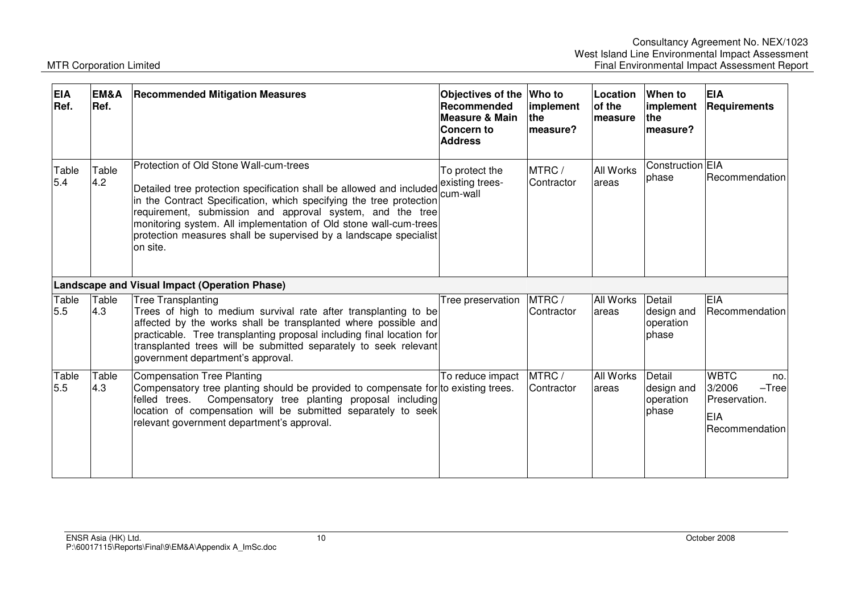| <b>EIA</b><br>Ref. | EM&A<br>Ref. | <b>Recommended Mitigation Measures</b>                                                                                                                                                                                                                                                                                                                                                                   | Objectives of the Who to<br>Recommended<br><b>Measure &amp; Main</b><br><b>Concern to</b><br><b>Address</b> | implement<br>the<br>measure? | <b>Location</b><br>of the<br><b>measure</b> | When to<br>implement<br><b>Ithe</b><br>measure? | <b>EIA</b><br>Requirements                                                        |
|--------------------|--------------|----------------------------------------------------------------------------------------------------------------------------------------------------------------------------------------------------------------------------------------------------------------------------------------------------------------------------------------------------------------------------------------------------------|-------------------------------------------------------------------------------------------------------------|------------------------------|---------------------------------------------|-------------------------------------------------|-----------------------------------------------------------------------------------|
| Table<br>5.4       | Table<br>4.2 | Protection of Old Stone Wall-cum-trees<br>Detailed tree protection specification shall be allowed and included<br>in the Contract Specification, which specifying the tree protection<br>requirement, submission and approval system, and the tree<br>monitoring system. All implementation of Old stone wall-cum-trees<br>protection measures shall be supervised by a landscape specialist<br>on site. | To protect the<br>existing trees-<br>cum-wall                                                               | MTRC /<br>Contractor         | <b>All Works</b><br>areas                   | Construction EIA<br>phase                       | Recommendation                                                                    |
|                    |              | Landscape and Visual Impact (Operation Phase)                                                                                                                                                                                                                                                                                                                                                            |                                                                                                             |                              |                                             |                                                 |                                                                                   |
| Table<br>5.5       | Table<br>4.3 | <b>Tree Transplanting</b><br>Trees of high to medium survival rate after transplanting to be<br>affected by the works shall be transplanted where possible and<br>practicable. Tree transplanting proposal including final location for<br>transplanted trees will be submitted separately to seek relevant<br>government department's approval.                                                         | Tree preservation                                                                                           | MTRC /<br>Contractor         | <b>All Works</b><br>areas                   | Detail<br>design and<br>operation<br>phase      | <b>EIA</b><br>Recommendation                                                      |
| Table<br>5.5       | Table<br>4.3 | Compensation Tree Planting<br>Compensatory tree planting should be provided to compensate for to existing trees.<br>felled trees.<br>Compensatory tree planting proposal including<br>location of compensation will be submitted separately to seek<br>relevant government department's approval.                                                                                                        | To reduce impact                                                                                            | MTRC/<br>Contractor          | <b>All Works</b><br>areas                   | Detail<br>design and<br>operation<br>phase      | <b>WBTC</b><br>no.<br>3/2006<br>$-Tree$<br>Preservation.<br>EIA<br>Recommendation |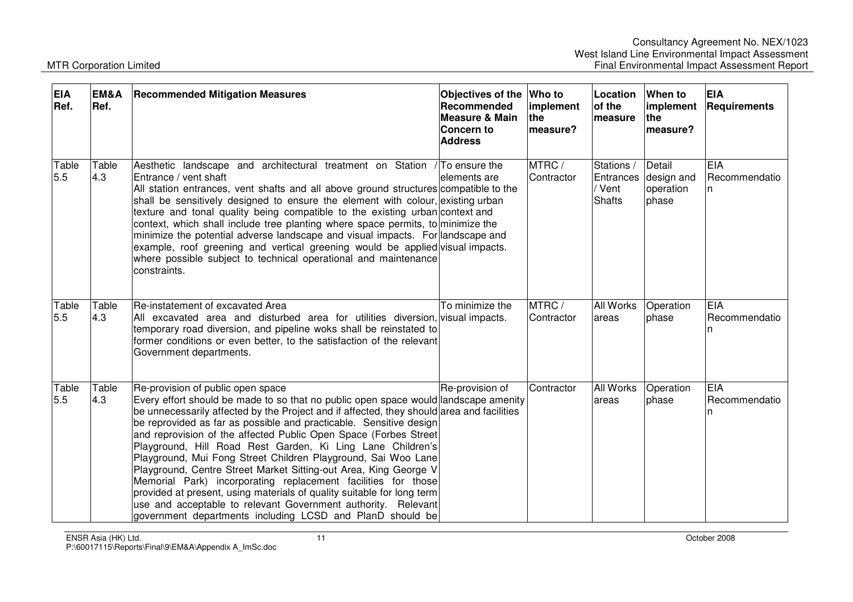| <b>EIA</b><br>Ref. | EM&A<br>Ref. | <b>Recommended Mitigation Measures</b>                                                                                                                                                                                                                                                                                                                                                                                                                                                                                                                                                                                                                                                                                                                                                                                                     | Objectives of the Who to<br>Recommended<br><b>Measure &amp; Main</b><br><b>Concern to</b><br><b>Address</b> | implement<br>the<br>measure? | Location<br>of the<br>lmeasure        | When to<br>implement<br><b>the</b><br>measure?       | <b>EIA</b><br>Requirements        |
|--------------------|--------------|--------------------------------------------------------------------------------------------------------------------------------------------------------------------------------------------------------------------------------------------------------------------------------------------------------------------------------------------------------------------------------------------------------------------------------------------------------------------------------------------------------------------------------------------------------------------------------------------------------------------------------------------------------------------------------------------------------------------------------------------------------------------------------------------------------------------------------------------|-------------------------------------------------------------------------------------------------------------|------------------------------|---------------------------------------|------------------------------------------------------|-----------------------------------|
| Table<br>5.5       | Table<br>4.3 | Aesthetic landscape and architectural treatment on Station / To ensure the<br>Entrance / vent shaft<br>All station entrances, vent shafts and all above ground structures compatible to the<br>shall be sensitively designed to ensure the element with colour, existing urban<br>texture and tonal quality being compatible to the existing urban context and<br>context, which shall include tree planting where space permits, to minimize the<br>minimize the potential adverse landscape and visual impacts. For landscape and<br>example, roof greening and vertical greening would be applied visual impacts.<br>where possible subject to technical operational and maintenance<br>constraints.                                                                                                                                    | elements are                                                                                                | MTRC/<br>Contractor          | Stations /<br>/ Vent<br><b>Shafts</b> | Detail<br>Entrances design and<br>operation<br>phase | <b>EIA</b><br>Recommendatio<br>n  |
| Table<br>5.5       | Table<br>4.3 | Re-instatement of excavated Area<br>All excavated area and disturbed area for utilities diversion, visual impacts.<br>temporary road diversion, and pipeline woks shall be reinstated to<br>former conditions or even better, to the satisfaction of the relevant<br>Government departments.                                                                                                                                                                                                                                                                                                                                                                                                                                                                                                                                               | To minimize the                                                                                             | MTRC /<br>Contractor         | All Works<br>areas                    | Operation<br>phase                                   | <b>EIA</b><br>Recommendatio<br>ın |
| Table<br>5.5       | Table<br>4.3 | Re-provision of public open space<br>Every effort should be made to so that no public open space would andscape amenity<br>be unnecessarily affected by the Project and if affected, they should area and facilities<br>be reprovided as far as possible and practicable. Sensitive design<br>and reprovision of the affected Public Open Space (Forbes Street<br>Playground, Hill Road Rest Garden, Ki Ling Lane Children's<br>Playground, Mui Fong Street Children Playground, Sai Woo Lane<br>Playground, Centre Street Market Sitting-out Area, King George V<br>Memorial Park) incorporating replacement facilities for those<br>provided at present, using materials of quality suitable for long term<br>use and acceptable to relevant Government authority. Relevant<br>government departments including LCSD and PlanD should be | Re-provision of                                                                                             | Contractor                   | All Works<br>areas                    | Operation<br>phase                                   | <b>EIA</b><br>Recommendatio<br>ın |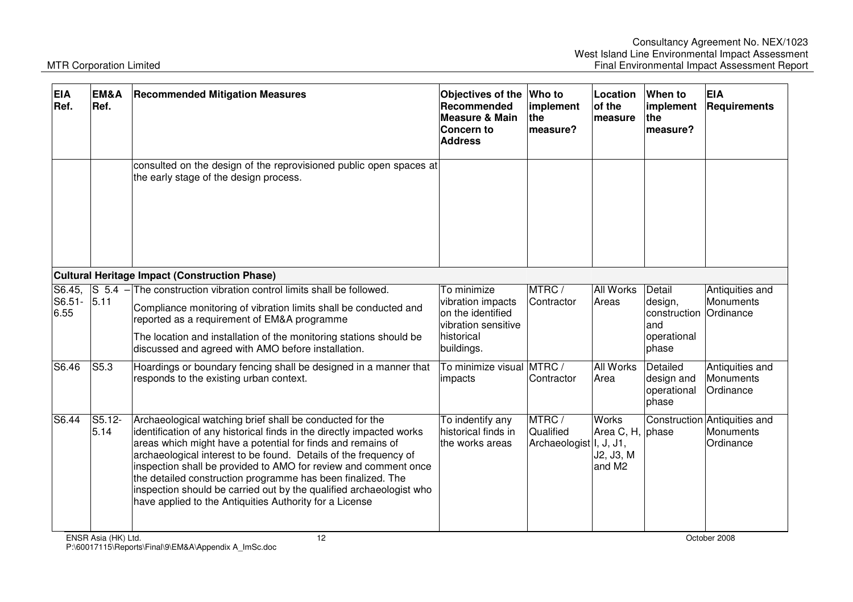| <b>EIA</b><br>Ref.  | EM&A<br>Ref.        | <b>Recommended Mitigation Measures</b>                                                                                                                                                                                                                                                                                                                                                                                                                                                                                                   | Objectives of the<br>Recommended<br><b>Measure &amp; Main</b><br>Concern to<br><b>Address</b>            | <b>Who to</b><br>implement<br>the<br>measure?  | Location<br>of the<br>measure                                       | <b>When to</b><br>implement<br>the<br>measure?                   | <b>EIA</b><br>Requirements                             |
|---------------------|---------------------|------------------------------------------------------------------------------------------------------------------------------------------------------------------------------------------------------------------------------------------------------------------------------------------------------------------------------------------------------------------------------------------------------------------------------------------------------------------------------------------------------------------------------------------|----------------------------------------------------------------------------------------------------------|------------------------------------------------|---------------------------------------------------------------------|------------------------------------------------------------------|--------------------------------------------------------|
|                     |                     | consulted on the design of the reprovisioned public open spaces at<br>the early stage of the design process.                                                                                                                                                                                                                                                                                                                                                                                                                             |                                                                                                          |                                                |                                                                     |                                                                  |                                                        |
|                     |                     | Cultural Heritage Impact (Construction Phase)                                                                                                                                                                                                                                                                                                                                                                                                                                                                                            |                                                                                                          |                                                |                                                                     |                                                                  |                                                        |
| S6.51- 5.11<br>6.55 |                     | S6.45, $\left  S\right $ 5.4 - The construction vibration control limits shall be followed.<br>Compliance monitoring of vibration limits shall be conducted and<br>reported as a requirement of EM&A programme<br>The location and installation of the monitoring stations should be<br>discussed and agreed with AMO before installation.                                                                                                                                                                                               | To minimize<br>vibration impacts<br>on the identified<br>vibration sensitive<br>historical<br>buildings. | MTRC/<br>Contractor                            | <b>All Works</b><br>Areas                                           | Detail<br>design,<br>construction<br>and<br>operational<br>phase | Antiquities and<br>Monuments<br>Ordinance              |
| S6.46               | S5.3                | Hoardings or boundary fencing shall be designed in a manner that<br>responds to the existing urban context.                                                                                                                                                                                                                                                                                                                                                                                                                              | To minimize visual<br>impacts                                                                            | MTRC/<br>Contractor                            | <b>All Works</b><br>Area                                            | Detailed<br>design and<br>operational<br>phase                   | Antiquities and<br>Monuments<br>Ordinance              |
| S6.44               | S5.12-<br>5.14      | Archaeological watching brief shall be conducted for the<br>identification of any historical finds in the directly impacted works<br>areas which might have a potential for finds and remains of<br>archaeological interest to be found. Details of the frequency of<br>inspection shall be provided to AMO for review and comment once<br>the detailed construction programme has been finalized. The<br>inspection should be carried out by the qualified archaeologist who<br>have applied to the Antiquities Authority for a License | To indentify any<br>historical finds in<br>the works areas                                               | MTRC /<br>Qualified<br>Archaeologist I, J, J1, | <b>Works</b><br>Area C, H, phase<br>J2, J3, M<br>and M <sub>2</sub> |                                                                  | Construction Antiquities and<br>Monuments<br>Ordinance |
|                     | ENSR Asia (HK) Ltd. | 12                                                                                                                                                                                                                                                                                                                                                                                                                                                                                                                                       |                                                                                                          |                                                |                                                                     |                                                                  | October 2008                                           |

P:\60017115\Reports\Final\9\EM&A\Appendix A\_ImSc.doc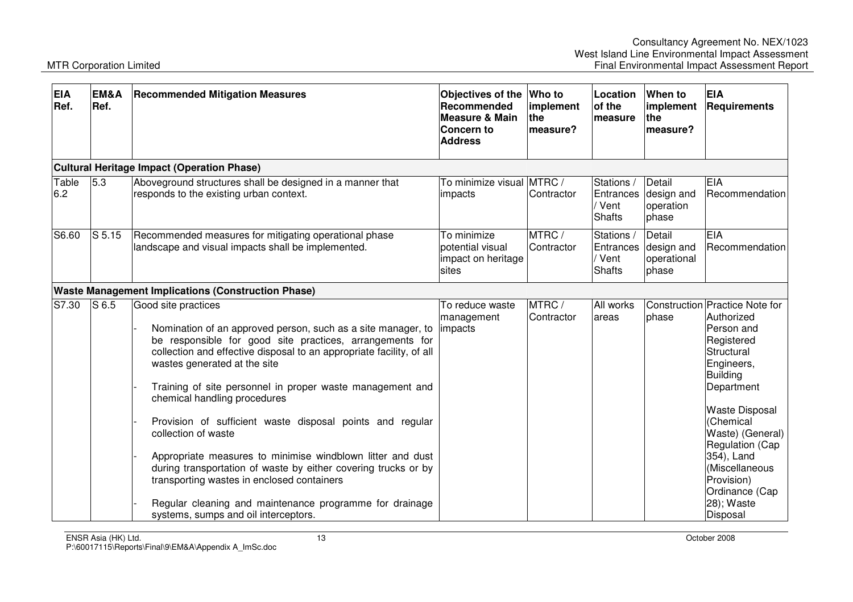| <b>EIA</b><br>Ref. | EM&A<br>Ref.      | <b>Recommended Mitigation Measures</b>                                                                                                                                                                                                                                                                                                                                                                                                                                                                                                                                                                                                                                                                                    | Objectives of the<br>Recommended<br><b>Measure &amp; Main</b><br><b>Concern to</b><br><b>Address</b> | <b>Who to</b><br>implement<br>the<br>measure? | Location<br>of the<br>measure                      | When to<br>implement<br><b>the</b><br>measure? | <b>EIA</b><br><b>Requirements</b>                                                                                                                                                                                                                                                                            |
|--------------------|-------------------|---------------------------------------------------------------------------------------------------------------------------------------------------------------------------------------------------------------------------------------------------------------------------------------------------------------------------------------------------------------------------------------------------------------------------------------------------------------------------------------------------------------------------------------------------------------------------------------------------------------------------------------------------------------------------------------------------------------------------|------------------------------------------------------------------------------------------------------|-----------------------------------------------|----------------------------------------------------|------------------------------------------------|--------------------------------------------------------------------------------------------------------------------------------------------------------------------------------------------------------------------------------------------------------------------------------------------------------------|
|                    |                   | <b>Cultural Heritage Impact (Operation Phase)</b>                                                                                                                                                                                                                                                                                                                                                                                                                                                                                                                                                                                                                                                                         |                                                                                                      |                                               |                                                    |                                                |                                                                                                                                                                                                                                                                                                              |
| Table<br>6.2       | 5.3               | Aboveground structures shall be designed in a manner that<br>responds to the existing urban context.                                                                                                                                                                                                                                                                                                                                                                                                                                                                                                                                                                                                                      | To minimize visual MTRC /<br>impacts                                                                 | Contractor                                    | Stations /<br>Entrances<br>/ Vent<br><b>Shafts</b> | Detail<br>design and<br>operation<br>phase     | EIA<br>Recommendation                                                                                                                                                                                                                                                                                        |
| S6.60              | S <sub>5.15</sub> | Recommended measures for mitigating operational phase<br>landscape and visual impacts shall be implemented.                                                                                                                                                                                                                                                                                                                                                                                                                                                                                                                                                                                                               | To minimize<br>potential visual<br>impact on heritage<br>sites                                       | MTRC/<br>Contractor                           | Stations /<br>Entrances<br>/ Vent<br><b>Shafts</b> | Detail<br>design and<br>operational<br>phase   | EIA<br>Recommendation                                                                                                                                                                                                                                                                                        |
|                    |                   | <b>Waste Management Implications (Construction Phase)</b>                                                                                                                                                                                                                                                                                                                                                                                                                                                                                                                                                                                                                                                                 |                                                                                                      |                                               |                                                    |                                                |                                                                                                                                                                                                                                                                                                              |
| S7.30              | S <sub>6.5</sub>  | Good site practices<br>Nomination of an approved person, such as a site manager, to<br>be responsible for good site practices, arrangements for<br>collection and effective disposal to an appropriate facility, of all<br>wastes generated at the site<br>Training of site personnel in proper waste management and<br>chemical handling procedures<br>Provision of sufficient waste disposal points and regular<br>collection of waste<br>Appropriate measures to minimise windblown litter and dust<br>during transportation of waste by either covering trucks or by<br>transporting wastes in enclosed containers<br>Regular cleaning and maintenance programme for drainage<br>systems, sumps and oil interceptors. | To reduce waste<br>management<br>impacts                                                             | MTRC/<br>Contractor                           | All works<br>areas                                 | phase                                          | Construction Practice Note for<br>Authorized<br>Person and<br>Registered<br>Structural<br>Engineers,<br><b>Building</b><br>Department<br><b>Waste Disposal</b><br>(Chemical<br>Waste) (General)<br>Regulation (Cap<br>354), Land<br>(Miscellaneous<br>Provision)<br>Ordinance (Cap<br>28); Waste<br>Disposal |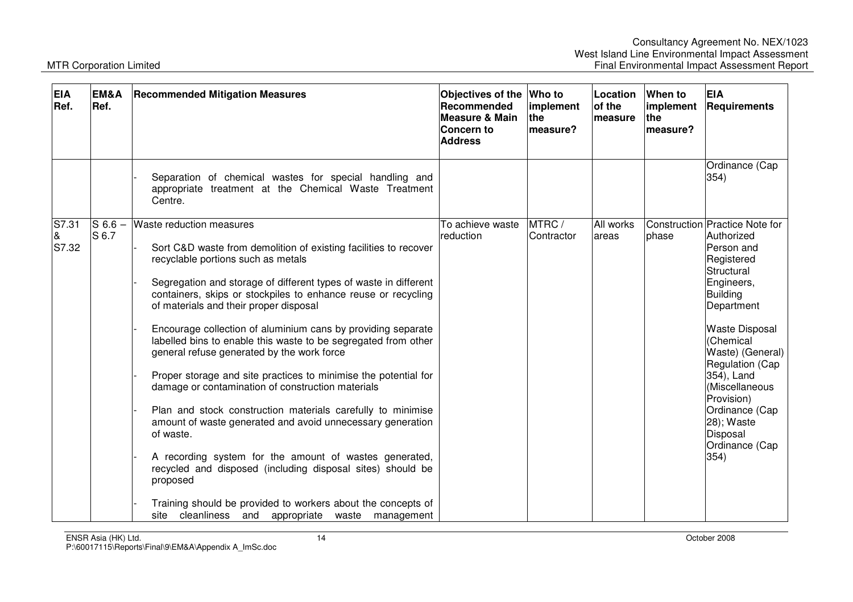| <b>EIA</b><br>Ref.  | EM&A<br>Ref.       | <b>Recommended Mitigation Measures</b>                                                                                                                                                                                                                                                                                                                                                                                                                                                                                                                                                                                                                                                                                                                                                                                                                                                                                                                                                                                              | Objectives of the Who to<br>Recommended<br><b>Measure &amp; Main</b><br>Concern to<br><b>Address</b> | implement<br><b>the</b><br>lmeasure? | Location<br>of the<br>lmeasure | When to<br>implement<br><b>the</b><br>measure? | <b>EIA</b><br><b>Requirements</b>                                                                                                                                                                                                                                                                                                      |
|---------------------|--------------------|-------------------------------------------------------------------------------------------------------------------------------------------------------------------------------------------------------------------------------------------------------------------------------------------------------------------------------------------------------------------------------------------------------------------------------------------------------------------------------------------------------------------------------------------------------------------------------------------------------------------------------------------------------------------------------------------------------------------------------------------------------------------------------------------------------------------------------------------------------------------------------------------------------------------------------------------------------------------------------------------------------------------------------------|------------------------------------------------------------------------------------------------------|--------------------------------------|--------------------------------|------------------------------------------------|----------------------------------------------------------------------------------------------------------------------------------------------------------------------------------------------------------------------------------------------------------------------------------------------------------------------------------------|
|                     |                    | Separation of chemical wastes for special handling and<br>appropriate treatment at the Chemical Waste Treatment<br>Centre.                                                                                                                                                                                                                                                                                                                                                                                                                                                                                                                                                                                                                                                                                                                                                                                                                                                                                                          |                                                                                                      |                                      |                                |                                                | Ordinance (Cap<br>354)                                                                                                                                                                                                                                                                                                                 |
| S7.31<br>&<br>S7.32 | $S$ 6.6 –<br>S 6.7 | <b>Waste reduction measures</b><br>Sort C&D waste from demolition of existing facilities to recover<br>recyclable portions such as metals<br>Segregation and storage of different types of waste in different<br>containers, skips or stockpiles to enhance reuse or recycling<br>of materials and their proper disposal<br>Encourage collection of aluminium cans by providing separate<br>labelled bins to enable this waste to be segregated from other<br>general refuse generated by the work force<br>Proper storage and site practices to minimise the potential for<br>damage or contamination of construction materials<br>Plan and stock construction materials carefully to minimise<br>amount of waste generated and avoid unnecessary generation<br>of waste.<br>A recording system for the amount of wastes generated,<br>recycled and disposed (including disposal sites) should be<br>proposed<br>Training should be provided to workers about the concepts of<br>site cleanliness and appropriate waste management | To achieve waste<br>reduction                                                                        | MTRC /<br>Contractor                 | All works<br>areas             | phase                                          | Construction Practice Note for<br>Authorized<br>Person and<br>Registered<br>Structural<br>Engineers,<br><b>Building</b><br>Department<br><b>Waste Disposal</b><br>(Chemical<br>Waste) (General)<br>Regulation (Cap<br>354), Land<br>(Miscellaneous<br>Provision)<br>Ordinance (Cap<br>28); Waste<br>Disposal<br>Ordinance (Cap<br>354) |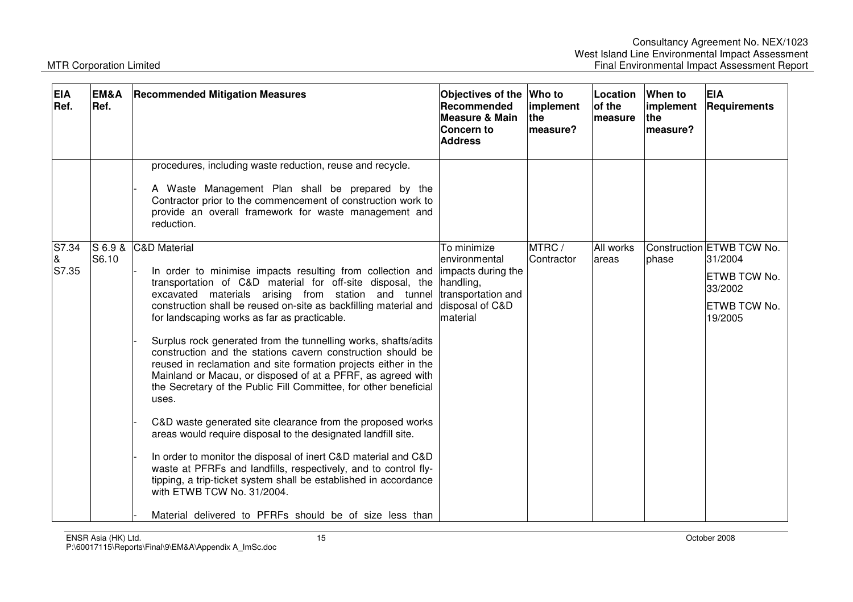| <b>EIA</b><br>Ref.     | EM&A<br>Ref.       | <b>Recommended Mitigation Measures</b>                                                                                                                                                                                                                                                                                                                                                                                                                                                                                                                                                                                                                                                                                                                                                                                                                                                                                                                                                                                                                                                                         | Objectives of the<br>Recommended<br>Measure & Main<br>Concern to<br><b>Address</b>                                    | Who to<br>implement<br><b>the</b><br>measure? | Location<br>of the<br><b>Imeasure</b> | When to<br>implement<br><b>Ithe</b><br>measure? | <b>EIA</b><br><b>Requirements</b>                                                                        |
|------------------------|--------------------|----------------------------------------------------------------------------------------------------------------------------------------------------------------------------------------------------------------------------------------------------------------------------------------------------------------------------------------------------------------------------------------------------------------------------------------------------------------------------------------------------------------------------------------------------------------------------------------------------------------------------------------------------------------------------------------------------------------------------------------------------------------------------------------------------------------------------------------------------------------------------------------------------------------------------------------------------------------------------------------------------------------------------------------------------------------------------------------------------------------|-----------------------------------------------------------------------------------------------------------------------|-----------------------------------------------|---------------------------------------|-------------------------------------------------|----------------------------------------------------------------------------------------------------------|
|                        |                    | procedures, including waste reduction, reuse and recycle.<br>A Waste Management Plan shall be prepared by the<br>Contractor prior to the commencement of construction work to<br>provide an overall framework for waste management and<br>reduction.                                                                                                                                                                                                                                                                                                                                                                                                                                                                                                                                                                                                                                                                                                                                                                                                                                                           |                                                                                                                       |                                               |                                       |                                                 |                                                                                                          |
| S7.34<br>$\&$<br>S7.35 | $S$ 6.9 &<br>S6.10 | <b>C&amp;D Material</b><br>In order to minimise impacts resulting from collection and<br>transportation of C&D material for off-site disposal, the<br>excavated materials arising from station and tunnel<br>construction shall be reused on-site as backfilling material and<br>for landscaping works as far as practicable.<br>Surplus rock generated from the tunnelling works, shafts/adits<br>construction and the stations cavern construction should be<br>reused in reclamation and site formation projects either in the<br>Mainland or Macau, or disposed of at a PFRF, as agreed with<br>the Secretary of the Public Fill Committee, for other beneficial<br>uses.<br>C&D waste generated site clearance from the proposed works<br>areas would require disposal to the designated landfill site.<br>In order to monitor the disposal of inert C&D material and C&D<br>waste at PFRFs and landfills, respectively, and to control fly-<br>tipping, a trip-ticket system shall be established in accordance<br>with ETWB TCW No. 31/2004.<br>Material delivered to PFRFs should be of size less than | To minimize<br>lenvironmental<br>impacts during the<br>handling,<br>transportation and<br>disposal of C&D<br>material | MTRC/<br>Contractor                           | All works<br>areas                    | lphase                                          | Construction <b>ETWB TCW No.</b><br>31/2004<br>ETWB TCW No.<br>33/2002<br><b>ETWB TCW No.</b><br>19/2005 |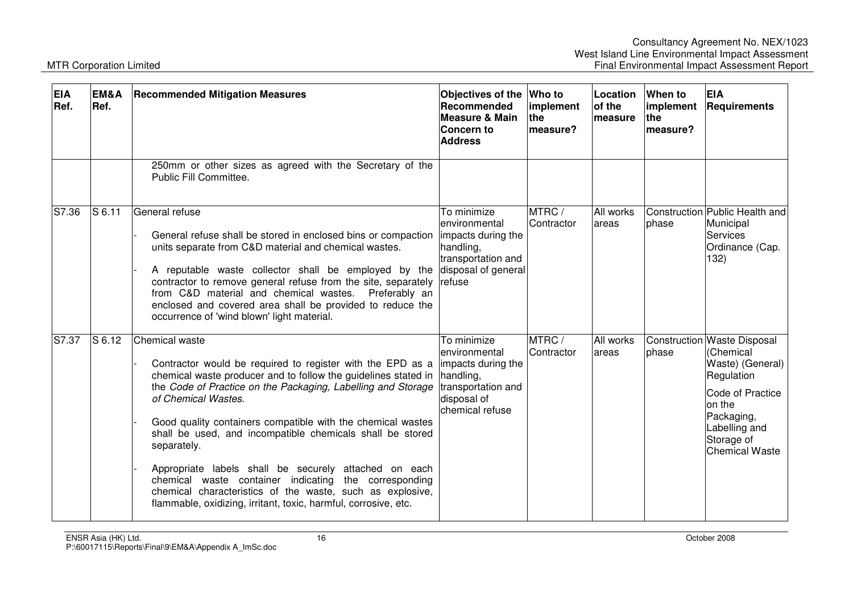| <b>EIA</b><br>Ref. | EM&A<br>Ref. | <b>Recommended Mitigation Measures</b>                                                                                                                                                                                                                                                                                                                                                                                                                                                                                                                                                                                             | Objectives of the<br>Recommended<br>Measure & Main<br>Concern to<br><b>Address</b>                                       | <b>Who to</b><br>implement<br>the<br>measure? | Location<br>of the<br>lmeasure | When to<br>implement<br><b>the</b><br>measure? | <b>EIA</b><br>Requirements                                                                                                                                                     |
|--------------------|--------------|------------------------------------------------------------------------------------------------------------------------------------------------------------------------------------------------------------------------------------------------------------------------------------------------------------------------------------------------------------------------------------------------------------------------------------------------------------------------------------------------------------------------------------------------------------------------------------------------------------------------------------|--------------------------------------------------------------------------------------------------------------------------|-----------------------------------------------|--------------------------------|------------------------------------------------|--------------------------------------------------------------------------------------------------------------------------------------------------------------------------------|
|                    |              | 250mm or other sizes as agreed with the Secretary of the<br>Public Fill Committee.                                                                                                                                                                                                                                                                                                                                                                                                                                                                                                                                                 |                                                                                                                          |                                               |                                |                                                |                                                                                                                                                                                |
| S7.36              | $S$ 6.11     | General refuse<br>General refuse shall be stored in enclosed bins or compaction<br>units separate from C&D material and chemical wastes.<br>A reputable waste collector shall be employed by the<br>contractor to remove general refuse from the site, separately<br>from C&D material and chemical wastes. Preferably an<br>enclosed and covered area shall be provided to reduce the<br>occurrence of 'wind blown' light material.                                                                                                                                                                                               | To minimize<br>environmental<br>impacts during the<br>handling,<br>transportation and<br>disposal of general<br>refuse   | MTRC/<br>Contractor                           | All works<br>areas             | phase                                          | Construction Public Health and<br>Municipal<br>Services<br>Ordinance (Cap.<br>132)                                                                                             |
| S7.37              | S 6.12       | Chemical waste<br>Contractor would be required to register with the EPD as a<br>chemical waste producer and to follow the guidelines stated in<br>the Code of Practice on the Packaging, Labelling and Storage<br>of Chemical Wastes.<br>Good quality containers compatible with the chemical wastes<br>shall be used, and incompatible chemicals shall be stored<br>separately.<br>Appropriate labels shall be securely attached on each<br>chemical waste container indicating the corresponding<br>chemical characteristics of the waste, such as explosive,<br>flammable, oxidizing, irritant, toxic, harmful, corrosive, etc. | To minimize<br>lenvironmental<br>impacts during the<br>handling,<br>transportation and<br>disposal of<br>chemical refuse | MTRC /<br>Contractor                          | All works<br>lareas            | phase                                          | Construction Waste Disposal<br>(Chemical<br>Waste) (General)<br>Regulation<br>Code of Practice<br>on the<br>Packaging,<br>Labelling and<br>Storage of<br><b>Chemical Waste</b> |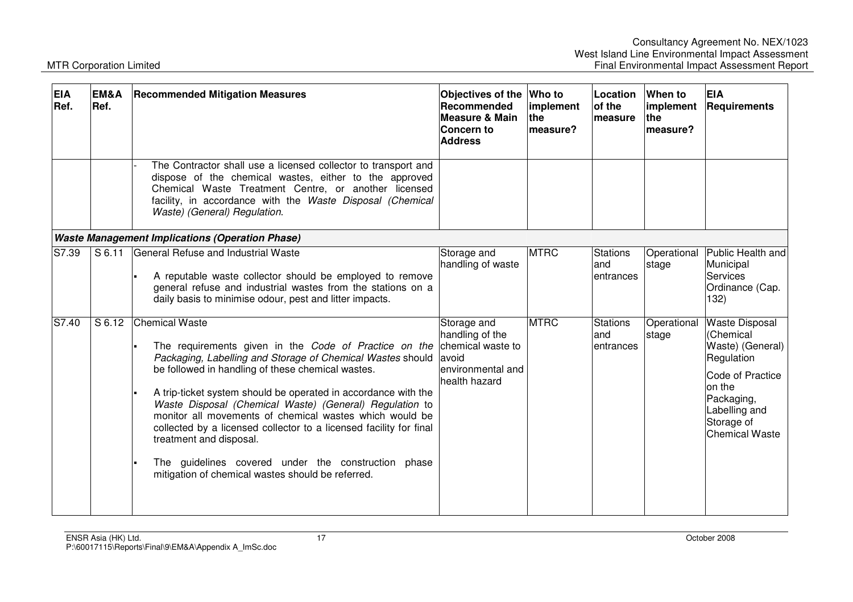| <b>EIA</b><br>Ref. | EM&A<br>Ref. | <b>Recommended Mitigation Measures</b>                                                                                                                                                                                                                                                                                                                                                                                                                                                                                                                                                                                   | Objectives of the<br>Recommended<br><b>Measure &amp; Main</b><br>Concern to<br><b>Address</b> | Who to<br>implement<br>the<br>measure? | Location<br>of the<br>measure        | When to<br>implement<br>the<br>measure? | <b>EIA</b><br>Requirements                                                                                                                                               |
|--------------------|--------------|--------------------------------------------------------------------------------------------------------------------------------------------------------------------------------------------------------------------------------------------------------------------------------------------------------------------------------------------------------------------------------------------------------------------------------------------------------------------------------------------------------------------------------------------------------------------------------------------------------------------------|-----------------------------------------------------------------------------------------------|----------------------------------------|--------------------------------------|-----------------------------------------|--------------------------------------------------------------------------------------------------------------------------------------------------------------------------|
|                    |              | The Contractor shall use a licensed collector to transport and<br>dispose of the chemical wastes, either to the approved<br>Chemical Waste Treatment Centre, or another licensed<br>facility, in accordance with the Waste Disposal (Chemical<br>Waste) (General) Regulation.                                                                                                                                                                                                                                                                                                                                            |                                                                                               |                                        |                                      |                                         |                                                                                                                                                                          |
|                    |              | <b>Waste Management Implications (Operation Phase)</b>                                                                                                                                                                                                                                                                                                                                                                                                                                                                                                                                                                   |                                                                                               |                                        |                                      |                                         |                                                                                                                                                                          |
| S7.39              | S 6.11       | General Refuse and Industrial Waste<br>A reputable waste collector should be employed to remove<br>general refuse and industrial wastes from the stations on a<br>daily basis to minimise odour, pest and litter impacts.                                                                                                                                                                                                                                                                                                                                                                                                | Storage and<br>handling of waste                                                              | <b>MTRC</b>                            | Stations<br>land<br>lentrances       | Operational<br>stage                    | Public Health and<br>Municipal<br><b>Services</b><br>Ordinance (Cap.<br>132)                                                                                             |
| S7.40              | S 6.12       | <b>Chemical Waste</b><br>The requirements given in the Code of Practice on the chemical waste to<br>Packaging, Labelling and Storage of Chemical Wastes should<br>be followed in handling of these chemical wastes.<br>A trip-ticket system should be operated in accordance with the<br>Waste Disposal (Chemical Waste) (General) Regulation to<br>monitor all movements of chemical wastes which would be<br>collected by a licensed collector to a licensed facility for final<br>treatment and disposal.<br>The guidelines covered under the construction phase<br>mitigation of chemical wastes should be referred. | Storage and<br>handling of the<br>avoid<br>lenvironmental and<br>health hazard                | <b>MTRC</b>                            | <b>Stations</b><br>land<br>entrances | Operational<br>stage                    | <b>Waste Disposal</b><br>(Chemical<br>Waste) (General)<br>Regulation<br>Code of Practice<br>on the<br>Packaging,<br>Labelling and<br>Storage of<br><b>Chemical Waste</b> |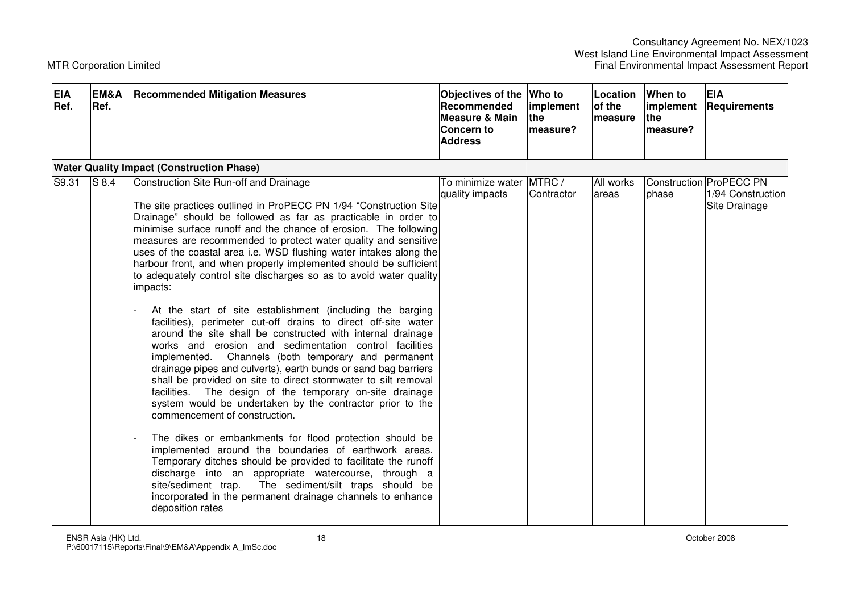| <b>EIA</b><br>Ref. | EM&A<br>Ref. | <b>Recommended Mitigation Measures</b>                                                                                                                                                                                                                                                                                                                                                                                                                                                                                                                                                                                                                                                                                                                                                                                                                                                                                                                                                                                                                                                                                                                                                                                                                                                                                                                                                                                                                                                                                                                    | Objectives of the Who to<br>Recommended<br><b>Measure &amp; Main</b><br><b>Concern to</b><br><b>Address</b> | implement<br><b>the</b><br>measure? | Location<br>of the<br>measure | When to<br>implement<br><b>the</b><br>measure? | <b>EIA</b><br>Requirements                                    |
|--------------------|--------------|-----------------------------------------------------------------------------------------------------------------------------------------------------------------------------------------------------------------------------------------------------------------------------------------------------------------------------------------------------------------------------------------------------------------------------------------------------------------------------------------------------------------------------------------------------------------------------------------------------------------------------------------------------------------------------------------------------------------------------------------------------------------------------------------------------------------------------------------------------------------------------------------------------------------------------------------------------------------------------------------------------------------------------------------------------------------------------------------------------------------------------------------------------------------------------------------------------------------------------------------------------------------------------------------------------------------------------------------------------------------------------------------------------------------------------------------------------------------------------------------------------------------------------------------------------------|-------------------------------------------------------------------------------------------------------------|-------------------------------------|-------------------------------|------------------------------------------------|---------------------------------------------------------------|
|                    |              | <b>Water Quality Impact (Construction Phase)</b>                                                                                                                                                                                                                                                                                                                                                                                                                                                                                                                                                                                                                                                                                                                                                                                                                                                                                                                                                                                                                                                                                                                                                                                                                                                                                                                                                                                                                                                                                                          |                                                                                                             |                                     |                               |                                                |                                                               |
| S9.31              | $S$ 8.4      | Construction Site Run-off and Drainage<br>The site practices outlined in ProPECC PN 1/94 "Construction Site<br>Drainage" should be followed as far as practicable in order to<br>minimise surface runoff and the chance of erosion. The following<br>measures are recommended to protect water quality and sensitive<br>uses of the coastal area i.e. WSD flushing water intakes along the<br>harbour front, and when properly implemented should be sufficient<br>to adequately control site discharges so as to avoid water quality<br>impacts:<br>At the start of site establishment (including the barging<br>facilities), perimeter cut-off drains to direct off-site water<br>around the site shall be constructed with internal drainage<br>works and erosion and sedimentation control facilities<br>implemented. Channels (both temporary and permanent<br>drainage pipes and culverts), earth bunds or sand bag barriers<br>shall be provided on site to direct stormwater to silt removal<br>facilities. The design of the temporary on-site drainage<br>system would be undertaken by the contractor prior to the<br>commencement of construction.<br>The dikes or embankments for flood protection should be<br>implemented around the boundaries of earthwork areas.<br>Temporary ditches should be provided to facilitate the runoff<br>discharge into an appropriate watercourse, through a<br>The sediment/silt traps should be<br>site/sediment trap.<br>incorporated in the permanent drainage channels to enhance<br>deposition rates | To minimize water IMTRC /<br>quality impacts                                                                | Contractor                          | All works<br>areas            | phase                                          | Construction ProPECC PN<br>1/94 Construction<br>Site Drainage |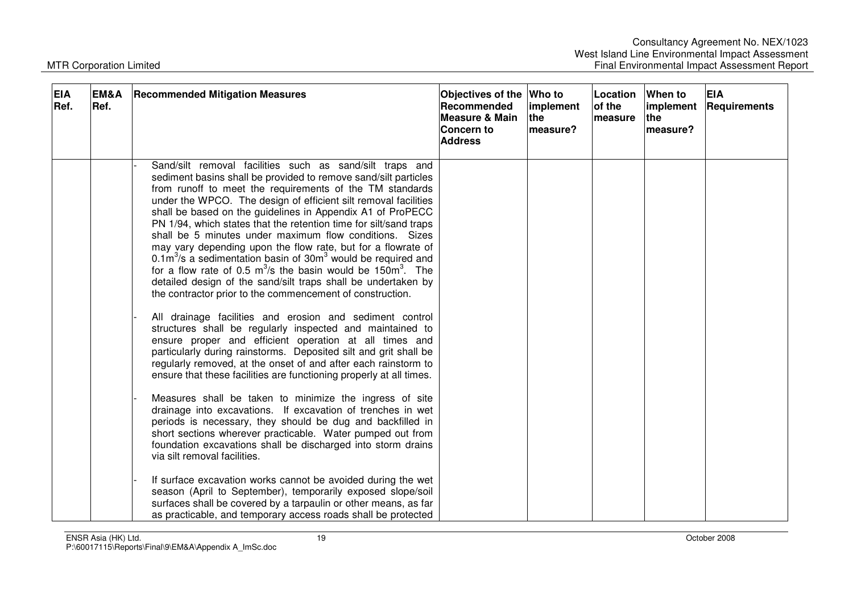| <b>EIA</b><br>Ref. | EM&A<br>Ref. | <b>Recommended Mitigation Measures</b>                                                                                                                                                                                                                                                                                                                                                                                                                                                                                                                                                                                                                                                                                                                                                                                                                                                                                                                                                                                                                                                                                                                                                                                                                                                                                                                                                                                                                                                                                                                                                | <b>Objectives of the</b><br>Recommended<br>Measure & Main<br>Concern to<br><b>Address</b> | Who to<br>implement<br>lthe l<br>lmeasure? | Location<br>of the<br><b>measure</b> | When to<br>implement<br><b>Ithe</b><br>measure? | <b>EIA</b><br>Requirements |
|--------------------|--------------|---------------------------------------------------------------------------------------------------------------------------------------------------------------------------------------------------------------------------------------------------------------------------------------------------------------------------------------------------------------------------------------------------------------------------------------------------------------------------------------------------------------------------------------------------------------------------------------------------------------------------------------------------------------------------------------------------------------------------------------------------------------------------------------------------------------------------------------------------------------------------------------------------------------------------------------------------------------------------------------------------------------------------------------------------------------------------------------------------------------------------------------------------------------------------------------------------------------------------------------------------------------------------------------------------------------------------------------------------------------------------------------------------------------------------------------------------------------------------------------------------------------------------------------------------------------------------------------|-------------------------------------------------------------------------------------------|--------------------------------------------|--------------------------------------|-------------------------------------------------|----------------------------|
|                    |              | Sand/silt removal facilities such as sand/silt traps and<br>sediment basins shall be provided to remove sand/silt particles<br>from runoff to meet the requirements of the TM standards<br>under the WPCO. The design of efficient silt removal facilities<br>shall be based on the guidelines in Appendix A1 of ProPECC<br>PN 1/94, which states that the retention time for silt/sand traps<br>shall be 5 minutes under maximum flow conditions. Sizes<br>may vary depending upon the flow rate, but for a flowrate of<br>$0.1\,\mathrm{m}^3/\mathrm{s}$ a sedimentation basin of 30 $\mathrm{m}^3$ would be required and<br>for a flow rate of 0.5 $m^3$ /s the basin would be 150 $m^3$ . The<br>detailed design of the sand/silt traps shall be undertaken by<br>the contractor prior to the commencement of construction.<br>All drainage facilities and erosion and sediment control<br>structures shall be regularly inspected and maintained to<br>ensure proper and efficient operation at all times and<br>particularly during rainstorms. Deposited silt and grit shall be<br>regularly removed, at the onset of and after each rainstorm to<br>ensure that these facilities are functioning properly at all times.<br>Measures shall be taken to minimize the ingress of site<br>drainage into excavations. If excavation of trenches in wet<br>periods is necessary, they should be dug and backfilled in<br>short sections wherever practicable. Water pumped out from<br>foundation excavations shall be discharged into storm drains<br>via silt removal facilities. |                                                                                           |                                            |                                      |                                                 |                            |
|                    |              | If surface excavation works cannot be avoided during the wet<br>season (April to September), temporarily exposed slope/soil<br>surfaces shall be covered by a tarpaulin or other means, as far<br>as practicable, and temporary access roads shall be protected                                                                                                                                                                                                                                                                                                                                                                                                                                                                                                                                                                                                                                                                                                                                                                                                                                                                                                                                                                                                                                                                                                                                                                                                                                                                                                                       |                                                                                           |                                            |                                      |                                                 |                            |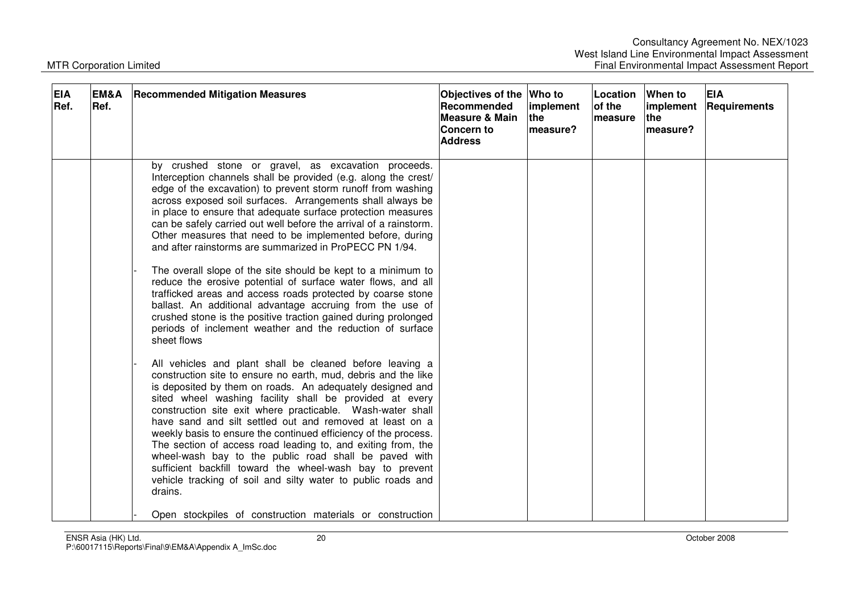| <b>EIA</b><br>Ref. | EM&A<br>Ref. | <b>Recommended Mitigation Measures</b>                                                                                                                                                                                                                                                                                                                                                                                                                                                                                                                                                                                                                                                                                                                                                                                                                                                                                                                                                                                                                   | Objectives of the Who to<br>Recommended<br>Measure & Main<br>Concern to<br><b>Address</b> | implement<br>lthe l<br>measure? | Location When to<br>of the<br>lmeasure | implement<br>the<br>measure? | <b>EIA</b><br><b>Requirements</b> |
|--------------------|--------------|----------------------------------------------------------------------------------------------------------------------------------------------------------------------------------------------------------------------------------------------------------------------------------------------------------------------------------------------------------------------------------------------------------------------------------------------------------------------------------------------------------------------------------------------------------------------------------------------------------------------------------------------------------------------------------------------------------------------------------------------------------------------------------------------------------------------------------------------------------------------------------------------------------------------------------------------------------------------------------------------------------------------------------------------------------|-------------------------------------------------------------------------------------------|---------------------------------|----------------------------------------|------------------------------|-----------------------------------|
|                    |              | by crushed stone or gravel, as excavation proceeds.<br>Interception channels shall be provided (e.g. along the crest/<br>edge of the excavation) to prevent storm runoff from washing<br>across exposed soil surfaces. Arrangements shall always be<br>in place to ensure that adequate surface protection measures<br>can be safely carried out well before the arrival of a rainstorm.<br>Other measures that need to be implemented before, during<br>and after rainstorms are summarized in ProPECC PN 1/94.<br>The overall slope of the site should be kept to a minimum to<br>reduce the erosive potential of surface water flows, and all<br>trafficked areas and access roads protected by coarse stone<br>ballast. An additional advantage accruing from the use of<br>crushed stone is the positive traction gained during prolonged<br>periods of inclement weather and the reduction of surface<br>sheet flows<br>All vehicles and plant shall be cleaned before leaving a<br>construction site to ensure no earth, mud, debris and the like |                                                                                           |                                 |                                        |                              |                                   |
|                    |              | is deposited by them on roads. An adequately designed and<br>sited wheel washing facility shall be provided at every<br>construction site exit where practicable. Wash-water shall<br>have sand and silt settled out and removed at least on a<br>weekly basis to ensure the continued efficiency of the process.<br>The section of access road leading to, and exiting from, the<br>wheel-wash bay to the public road shall be paved with<br>sufficient backfill toward the wheel-wash bay to prevent<br>vehicle tracking of soil and silty water to public roads and<br>drains.<br>Open stockpiles of construction materials or construction                                                                                                                                                                                                                                                                                                                                                                                                           |                                                                                           |                                 |                                        |                              |                                   |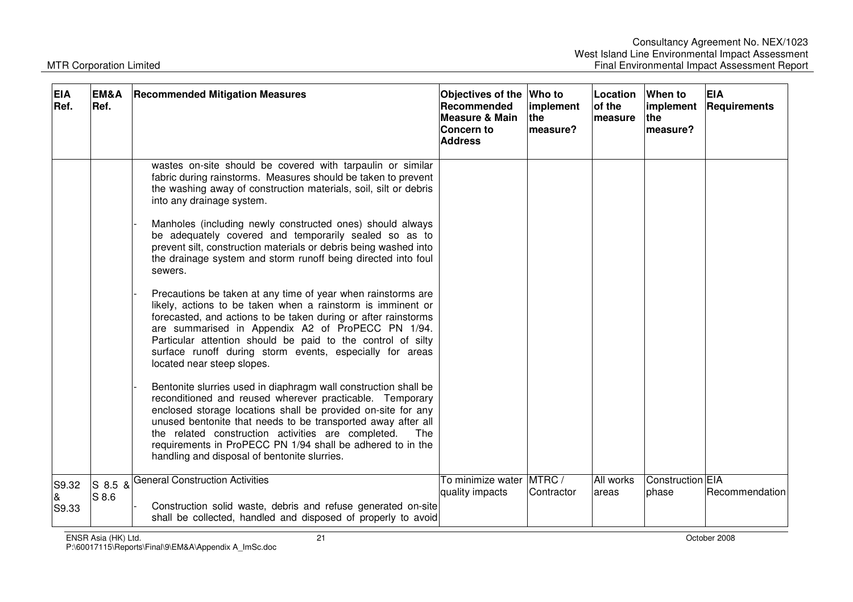| <b>EIA</b><br>Ref. | EM&A<br>Ref.      | <b>Recommended Mitigation Measures</b>                                                                                                                                                                                                                                                                                                                                                                                                 | Objectives of the Who to<br>Recommended<br><b>Measure &amp; Main</b><br><b>Concern to</b><br><b>Address</b> | implement<br>the<br>measure? | Location<br>of the<br>measure | <b>When to</b><br>implement<br>the<br>measure? | <b>EIA</b><br>Requirements |
|--------------------|-------------------|----------------------------------------------------------------------------------------------------------------------------------------------------------------------------------------------------------------------------------------------------------------------------------------------------------------------------------------------------------------------------------------------------------------------------------------|-------------------------------------------------------------------------------------------------------------|------------------------------|-------------------------------|------------------------------------------------|----------------------------|
|                    |                   | wastes on-site should be covered with tarpaulin or similar<br>fabric during rainstorms. Measures should be taken to prevent<br>the washing away of construction materials, soil, silt or debris<br>into any drainage system.                                                                                                                                                                                                           |                                                                                                             |                              |                               |                                                |                            |
|                    |                   | Manholes (including newly constructed ones) should always<br>be adequately covered and temporarily sealed so as to<br>prevent silt, construction materials or debris being washed into<br>the drainage system and storm runoff being directed into foul<br>sewers.                                                                                                                                                                     |                                                                                                             |                              |                               |                                                |                            |
|                    |                   | Precautions be taken at any time of year when rainstorms are<br>likely, actions to be taken when a rainstorm is imminent or<br>forecasted, and actions to be taken during or after rainstorms<br>are summarised in Appendix A2 of ProPECC PN 1/94.<br>Particular attention should be paid to the control of silty<br>surface runoff during storm events, especially for areas<br>located near steep slopes.                            |                                                                                                             |                              |                               |                                                |                            |
|                    |                   | Bentonite slurries used in diaphragm wall construction shall be<br>reconditioned and reused wherever practicable. Temporary<br>enclosed storage locations shall be provided on-site for any<br>unused bentonite that needs to be transported away after all<br>the related construction activities are completed.<br>The<br>requirements in ProPECC PN 1/94 shall be adhered to in the<br>handling and disposal of bentonite slurries. |                                                                                                             |                              |                               |                                                |                            |
| S9.32<br>S9.33     | $S$ 8.5 &<br>S8.6 | <b>General Construction Activities</b><br>Construction solid waste, debris and refuse generated on-site<br>shall be collected, handled and disposed of properly to avoid                                                                                                                                                                                                                                                               | To minimize water MTRC /<br>quality impacts                                                                 | Contractor                   | All works<br>areas            | Construction EIA<br>phase                      | Recommendation             |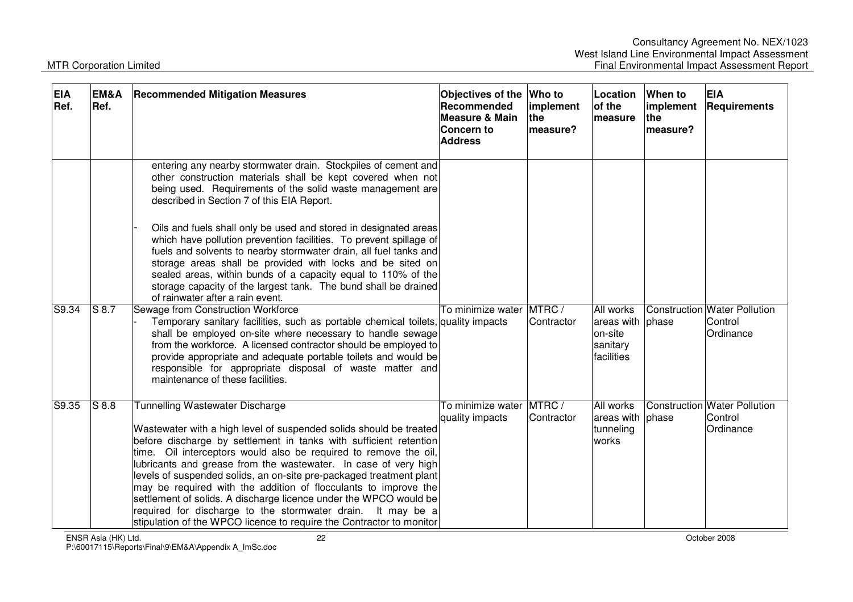| <b>EIA</b><br>Ref. | EM&A<br>Ref. | <b>Recommended Mitigation Measures</b>                                                                                                                                                                                                                                                                                                                                                                                                                                                                                                                                                                                                                                         | Objectives of the<br>Recommended<br><b>Measure &amp; Main</b><br>Concern to<br><b>Address</b> | <b>Who to</b><br>implement<br>the<br>measure? | Location<br>of the<br>measure                                                    | When to<br>implement<br>the<br>measure? | <b>EIA</b><br>Requirements                           |
|--------------------|--------------|--------------------------------------------------------------------------------------------------------------------------------------------------------------------------------------------------------------------------------------------------------------------------------------------------------------------------------------------------------------------------------------------------------------------------------------------------------------------------------------------------------------------------------------------------------------------------------------------------------------------------------------------------------------------------------|-----------------------------------------------------------------------------------------------|-----------------------------------------------|----------------------------------------------------------------------------------|-----------------------------------------|------------------------------------------------------|
|                    |              | entering any nearby stormwater drain. Stockpiles of cement and<br>other construction materials shall be kept covered when not<br>being used. Requirements of the solid waste management are<br>described in Section 7 of this EIA Report.                                                                                                                                                                                                                                                                                                                                                                                                                                      |                                                                                               |                                               |                                                                                  |                                         |                                                      |
|                    |              | Oils and fuels shall only be used and stored in designated areas<br>which have pollution prevention facilities. To prevent spillage of<br>fuels and solvents to nearby stormwater drain, all fuel tanks and<br>storage areas shall be provided with locks and be sited on<br>sealed areas, within bunds of a capacity equal to 110% of the<br>storage capacity of the largest tank. The bund shall be drained<br>of rainwater after a rain event.                                                                                                                                                                                                                              |                                                                                               |                                               |                                                                                  |                                         |                                                      |
| S9.34              | $S$ 8.7      | Sewage from Construction Workforce<br>Temporary sanitary facilities, such as portable chemical toilets, quality impacts<br>shall be employed on-site where necessary to handle sewage<br>from the workforce. A licensed contractor should be employed to<br>provide appropriate and adequate portable toilets and would be<br>responsible for appropriate disposal of waste matter and<br>maintenance of these facilities.                                                                                                                                                                                                                                                     | To minimize water MTRC /                                                                      | Contractor                                    | All works<br>areas with phase<br>on-site<br>sanitary<br><i><b>facilities</b></i> |                                         | Construction Water Pollution<br>Control<br>Ordinance |
| S9.35              | S8.8         | <b>Tunnelling Wastewater Discharge</b><br>Wastewater with a high level of suspended solids should be treated<br>before discharge by settlement in tanks with sufficient retention<br>time. Oil interceptors would also be required to remove the oil,<br>lubricants and grease from the wastewater. In case of very high<br>levels of suspended solids, an on-site pre-packaged treatment plant<br>may be required with the addition of flocculants to improve the<br>settlement of solids. A discharge licence under the WPCO would be<br>required for discharge to the stormwater drain. It may be a<br>stipulation of the WPCO licence to require the Contractor to monitor | To minimize water MTRC /<br>quality impacts                                                   | Contractor                                    | All works<br>areas with phase<br>tunneling<br>works                              |                                         | Construction Water Pollution<br>Control<br>Ordinance |

ENSR Asia (HK) Ltd. 22 October 2008 P:\60017115\Reports\Final\9\EM&A\Appendix A\_ImSc.doc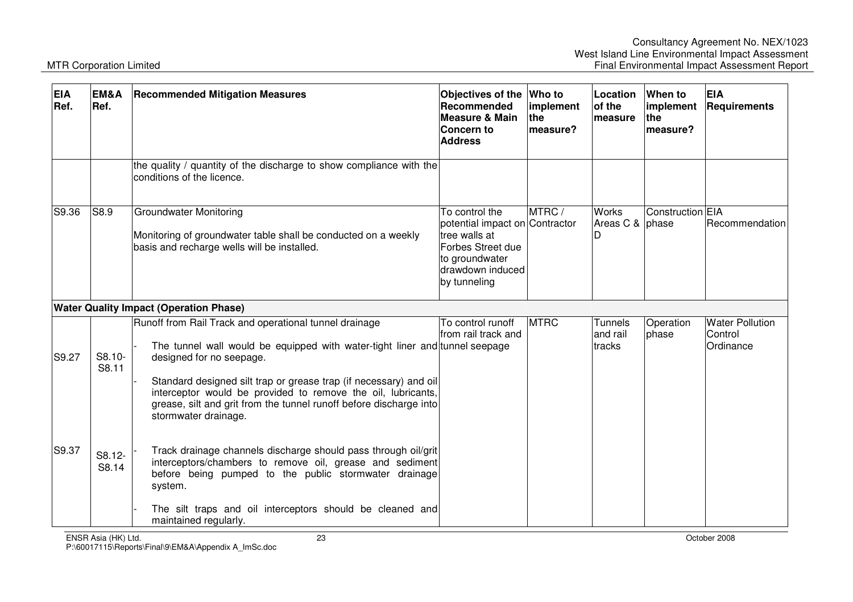| <b>EIA</b><br>Ref. | EM&A<br>Ref.                           | <b>Recommended Mitigation Measures</b>                                                                                                                                                                                                                                                                                                                                                               | Objectives of the<br>Recommended<br><b>Measure &amp; Main</b><br>Concern to<br><b>Address</b>                                                | Who to<br>implement<br>the<br>measure? | Location<br>of the<br>measure        | When to<br>implement<br><b>the</b><br>measure? | <b>EIA</b><br>Requirements                     |
|--------------------|----------------------------------------|------------------------------------------------------------------------------------------------------------------------------------------------------------------------------------------------------------------------------------------------------------------------------------------------------------------------------------------------------------------------------------------------------|----------------------------------------------------------------------------------------------------------------------------------------------|----------------------------------------|--------------------------------------|------------------------------------------------|------------------------------------------------|
|                    |                                        | the quality / quantity of the discharge to show compliance with the<br>conditions of the licence.                                                                                                                                                                                                                                                                                                    |                                                                                                                                              |                                        |                                      |                                                |                                                |
| S9.36              | S8.9                                   | <b>Groundwater Monitoring</b><br>Monitoring of groundwater table shall be conducted on a weekly<br>basis and recharge wells will be installed.                                                                                                                                                                                                                                                       | To control the<br>potential impact on Contractor<br>tree walls at<br>Forbes Street due<br>to groundwater<br>drawdown induced<br>by tunneling | MTRC/                                  | <b>Works</b><br>Areas C & phase      | Construction <sup>EIA</sup>                    | lRecommendation                                |
|                    |                                        | <b>Water Quality Impact (Operation Phase)</b>                                                                                                                                                                                                                                                                                                                                                        |                                                                                                                                              |                                        |                                      |                                                |                                                |
| S9.27              | S8.10-<br>S8.11                        | Runoff from Rail Track and operational tunnel drainage<br>The tunnel wall would be equipped with water-tight liner and tunnel seepage<br>designed for no seepage.<br>Standard designed silt trap or grease trap (if necessary) and oil<br>interceptor would be provided to remove the oil, lubricants,<br>grease, silt and grit from the tunnel runoff before discharge into<br>stormwater drainage. | To control runoff<br>from rail track and                                                                                                     | <b>MTRC</b>                            | <b>Tunnels</b><br>and rail<br>tracks | Operation<br>phase                             | <b>Water Pollution</b><br>Control<br>Ordinance |
| S9.37              | S8.12-<br>S8.14<br>ENSR Asia (HK) Ltd. | Track drainage channels discharge should pass through oil/grit<br>interceptors/chambers to remove oil, grease and sediment<br>before being pumped to the public stormwater drainage<br>system.<br>The silt traps and oil interceptors should be cleaned and<br>maintained regularly.<br>23                                                                                                           |                                                                                                                                              |                                        |                                      |                                                | October 2008                                   |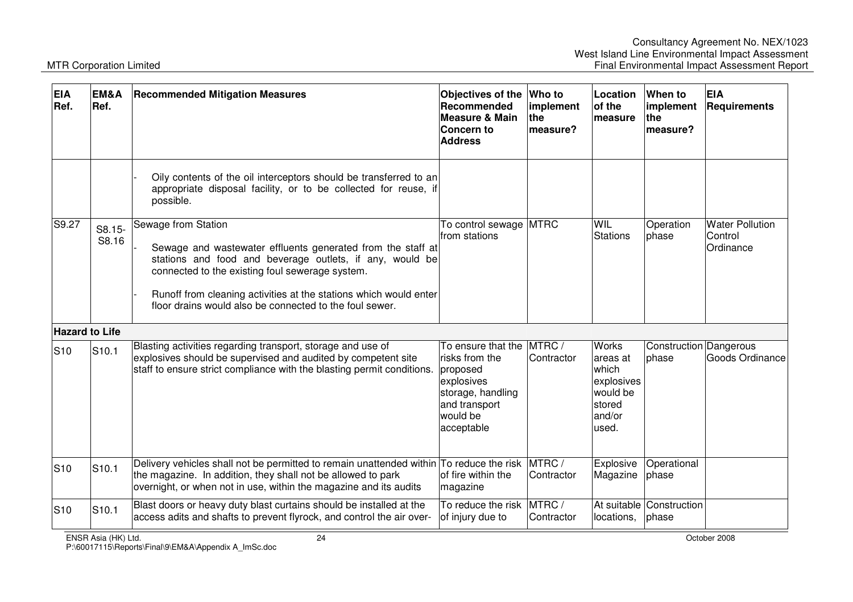| <b>EIA</b><br>Ref.    | EM&A<br>Ref.      | <b>Recommended Mitigation Measures</b>                                                                                                                                                                                                                                                                                            | Objectives of the<br>Recommended<br><b>Measure &amp; Main</b><br>Concern to<br><b>Address</b>                                  | <b>Who to</b><br>implement<br>the<br>measure? | Location<br>of the<br>measure                                                             | When to<br>implement<br>lthe.<br>measure? | <b>EIA</b><br>Requirements                     |
|-----------------------|-------------------|-----------------------------------------------------------------------------------------------------------------------------------------------------------------------------------------------------------------------------------------------------------------------------------------------------------------------------------|--------------------------------------------------------------------------------------------------------------------------------|-----------------------------------------------|-------------------------------------------------------------------------------------------|-------------------------------------------|------------------------------------------------|
|                       |                   | Oily contents of the oil interceptors should be transferred to an<br>appropriate disposal facility, or to be collected for reuse, if<br>possible.                                                                                                                                                                                 |                                                                                                                                |                                               |                                                                                           |                                           |                                                |
| S9.27                 | S8.15-<br>S8.16   | Sewage from Station<br>Sewage and wastewater effluents generated from the staff at<br>stations and food and beverage outlets, if any, would be<br>connected to the existing foul sewerage system.<br>Runoff from cleaning activities at the stations which would enter<br>floor drains would also be connected to the foul sewer. | To control sewage<br>from stations                                                                                             | <b>MTRC</b>                                   | WIL<br><b>Stations</b>                                                                    | Operation<br>phase                        | <b>Water Pollution</b><br>Control<br>Ordinance |
| <b>Hazard to Life</b> |                   |                                                                                                                                                                                                                                                                                                                                   |                                                                                                                                |                                               |                                                                                           |                                           |                                                |
| <b>S10</b>            | S <sub>10.1</sub> | Blasting activities regarding transport, storage and use of<br>explosives should be supervised and audited by competent site<br>staff to ensure strict compliance with the blasting permit conditions.                                                                                                                            | To ensure that the<br>risks from the<br>proposed<br>explosives<br>storage, handling<br>and transport<br>would be<br>acceptable | MTRC /<br>Contractor                          | <b>Works</b><br>areas at<br>which<br>explosives<br>would be<br>stored<br>land/or<br>used. | Construction Dangerous<br>phase           | Goods Ordinance                                |
| <b>S10</b>            | S <sub>10.1</sub> | Delivery vehicles shall not be permitted to remain unattended within To reduce the risk<br>the magazine. In addition, they shall not be allowed to park<br>overnight, or when not in use, within the magazine and its audits                                                                                                      | of fire within the<br>magazine                                                                                                 | MTRC/<br>Contractor                           | Explosive<br>Magazine                                                                     | Operational<br>phase                      |                                                |
| <b>S10</b>            | S <sub>10.1</sub> | Blast doors or heavy duty blast curtains should be installed at the<br>access adits and shafts to prevent flyrock, and control the air over-                                                                                                                                                                                      | To reduce the risk MTRC /<br>of injury due to                                                                                  | Contractor                                    | At suitable<br>locations,                                                                 | Construction<br>phase                     |                                                |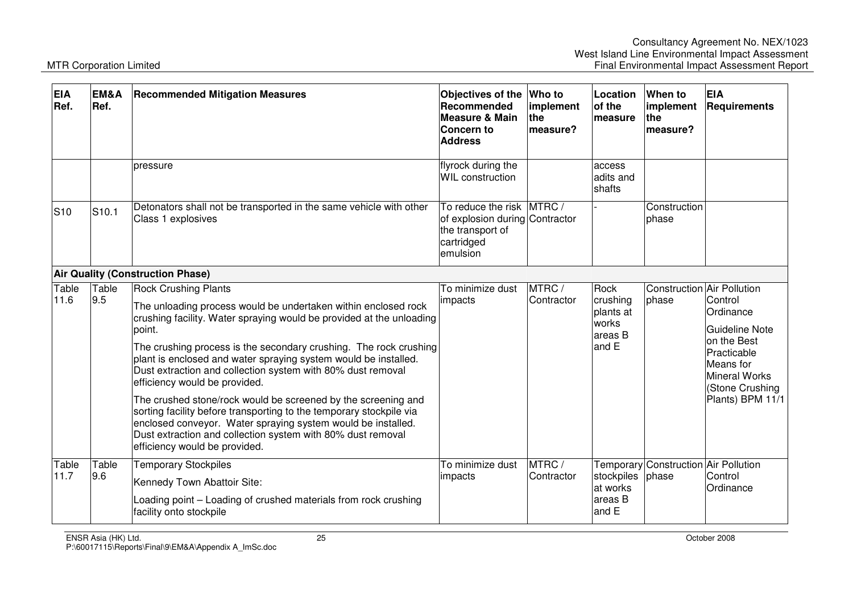| <b>EIA</b><br>Ref. | EM&A<br>Ref.      | <b>Recommended Mitigation Measures</b>                                                                                                                                                                                                                                                                                                                                                                                                                                                                                                                                                                                                                                                                                          | Objectives of the<br>Recommended<br><b>Measure &amp; Main</b><br>Concern to<br><b>Address</b>            | <b>Who to</b><br>implement<br><b>the</b><br>measure? | Location<br>of the<br>measure                                | When to<br>implement<br>the<br>measure?       | <b>EIA</b><br>Requirements                                                                                                                                     |
|--------------------|-------------------|---------------------------------------------------------------------------------------------------------------------------------------------------------------------------------------------------------------------------------------------------------------------------------------------------------------------------------------------------------------------------------------------------------------------------------------------------------------------------------------------------------------------------------------------------------------------------------------------------------------------------------------------------------------------------------------------------------------------------------|----------------------------------------------------------------------------------------------------------|------------------------------------------------------|--------------------------------------------------------------|-----------------------------------------------|----------------------------------------------------------------------------------------------------------------------------------------------------------------|
|                    |                   | pressure                                                                                                                                                                                                                                                                                                                                                                                                                                                                                                                                                                                                                                                                                                                        | flyrock during the<br><b>WIL</b> construction                                                            |                                                      | access<br>adits and<br>shafts                                |                                               |                                                                                                                                                                |
| S <sub>10</sub>    | S <sub>10.1</sub> | Detonators shall not be transported in the same vehicle with other<br>Class 1 explosives                                                                                                                                                                                                                                                                                                                                                                                                                                                                                                                                                                                                                                        | To reduce the risk MTRC/<br>of explosion during Contractor<br>the transport of<br>cartridged<br>emulsion |                                                      |                                                              | Construction<br>lphase                        |                                                                                                                                                                |
|                    |                   | <b>Air Quality (Construction Phase)</b>                                                                                                                                                                                                                                                                                                                                                                                                                                                                                                                                                                                                                                                                                         |                                                                                                          |                                                      |                                                              |                                               |                                                                                                                                                                |
| Table<br>11.6      | Table<br>9.5      | <b>Rock Crushing Plants</b><br>The unloading process would be undertaken within enclosed rock<br>crushing facility. Water spraying would be provided at the unloading<br>point.<br>The crushing process is the secondary crushing. The rock crushing<br>plant is enclosed and water spraying system would be installed.<br>Dust extraction and collection system with 80% dust removal<br>efficiency would be provided.<br>The crushed stone/rock would be screened by the screening and<br>sorting facility before transporting to the temporary stockpile via<br>enclosed conveyor. Water spraying system would be installed.<br>Dust extraction and collection system with 80% dust removal<br>efficiency would be provided. | To minimize dust<br>impacts                                                                              | MTRC/<br>Contractor                                  | Rock<br>crushing<br>plants at<br>works<br>lareas B<br>land E | Construction Air Pollution<br>phase           | Control<br>Ordinance<br><b>Guideline Note</b><br>on the Best<br><b>Practicable</b><br>Means for<br><b>Mineral Works</b><br>(Stone Crushing<br>Plants) BPM 11/1 |
| Table<br>11.7      | Table<br>9.6      | <b>Temporary Stockpiles</b><br>Kennedy Town Abattoir Site:<br>Loading point – Loading of crushed materials from rock crushing<br>facility onto stockpile                                                                                                                                                                                                                                                                                                                                                                                                                                                                                                                                                                        | To minimize dust<br>impacts                                                                              | MTRC/<br>Contractor                                  | stockpiles<br>at works<br>lareas B<br>and E                  | Temporary Construction Air Pollution<br>phase | Control<br>Ordinance                                                                                                                                           |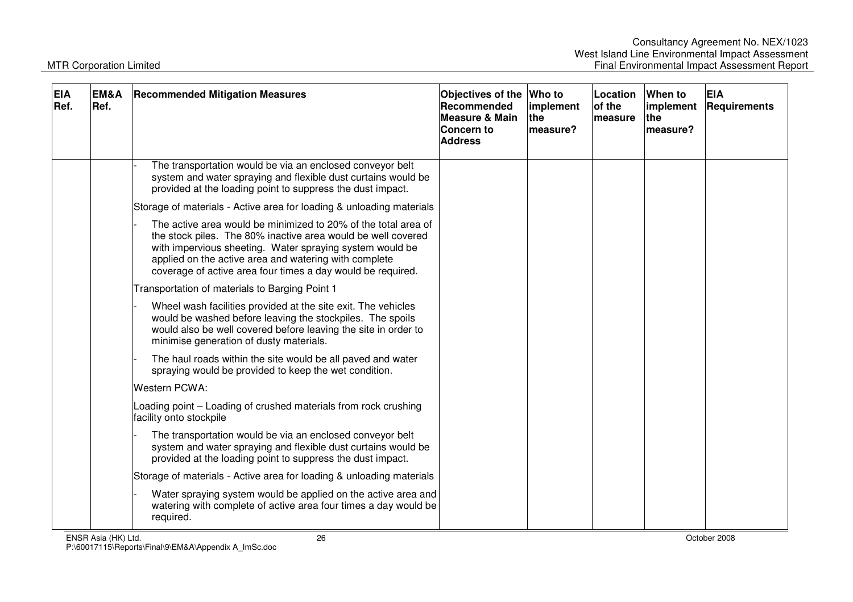| <b>EIA</b><br>Ref. | <b>EM&amp;A</b><br>Ref. | <b>Recommended Mitigation Measures</b>                                                                                                                                                                                                                                                                             | Objectives of the<br>Recommended<br><b>Measure &amp; Main</b><br><b>Concern to</b><br><b>Address</b> | Who to<br>implement<br><b>the</b><br>measure? | Location<br>of the<br>measure | When to<br>implement<br><b>the</b><br>measure? | <b>EIA</b><br>Requirements |
|--------------------|-------------------------|--------------------------------------------------------------------------------------------------------------------------------------------------------------------------------------------------------------------------------------------------------------------------------------------------------------------|------------------------------------------------------------------------------------------------------|-----------------------------------------------|-------------------------------|------------------------------------------------|----------------------------|
|                    |                         | The transportation would be via an enclosed conveyor belt<br>system and water spraying and flexible dust curtains would be<br>provided at the loading point to suppress the dust impact.                                                                                                                           |                                                                                                      |                                               |                               |                                                |                            |
|                    |                         | Storage of materials - Active area for loading & unloading materials                                                                                                                                                                                                                                               |                                                                                                      |                                               |                               |                                                |                            |
|                    |                         | The active area would be minimized to 20% of the total area of<br>the stock piles. The 80% inactive area would be well covered<br>with impervious sheeting. Water spraying system would be<br>applied on the active area and watering with complete<br>coverage of active area four times a day would be required. |                                                                                                      |                                               |                               |                                                |                            |
|                    |                         | Transportation of materials to Barging Point 1                                                                                                                                                                                                                                                                     |                                                                                                      |                                               |                               |                                                |                            |
|                    |                         | Wheel wash facilities provided at the site exit. The vehicles<br>would be washed before leaving the stockpiles. The spoils<br>would also be well covered before leaving the site in order to<br>minimise generation of dusty materials.                                                                            |                                                                                                      |                                               |                               |                                                |                            |
|                    |                         | The haul roads within the site would be all paved and water<br>spraying would be provided to keep the wet condition.                                                                                                                                                                                               |                                                                                                      |                                               |                               |                                                |                            |
|                    |                         | <b>Western PCWA:</b>                                                                                                                                                                                                                                                                                               |                                                                                                      |                                               |                               |                                                |                            |
|                    |                         | Loading point - Loading of crushed materials from rock crushing<br>facility onto stockpile                                                                                                                                                                                                                         |                                                                                                      |                                               |                               |                                                |                            |
|                    |                         | The transportation would be via an enclosed conveyor belt<br>system and water spraying and flexible dust curtains would be<br>provided at the loading point to suppress the dust impact.                                                                                                                           |                                                                                                      |                                               |                               |                                                |                            |
|                    |                         | Storage of materials - Active area for loading & unloading materials                                                                                                                                                                                                                                               |                                                                                                      |                                               |                               |                                                |                            |
|                    |                         | Water spraying system would be applied on the active area and<br>watering with complete of active area four times a day would be<br>required.                                                                                                                                                                      |                                                                                                      |                                               |                               |                                                |                            |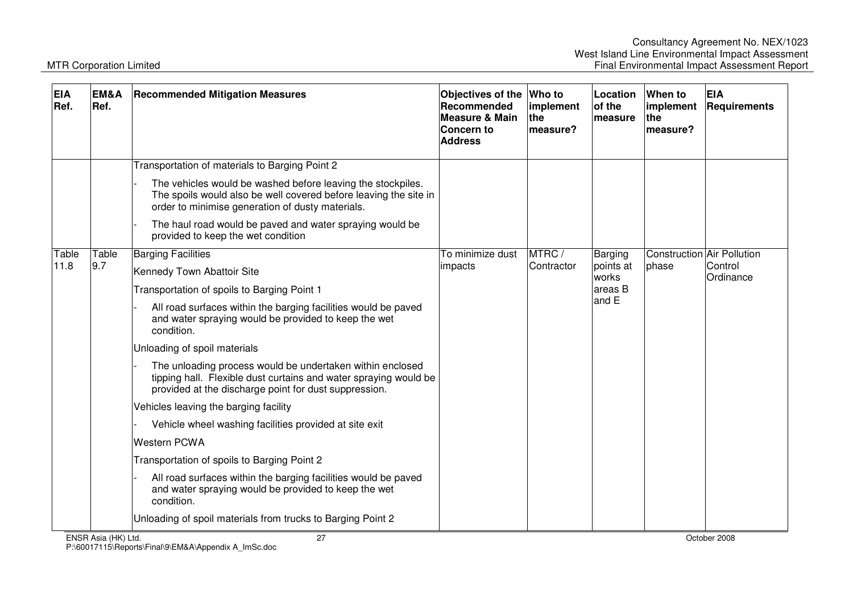| <b>EIA</b><br>Ref. | EM&A<br>Ref.        | <b>Recommended Mitigation Measures</b>                                                                                                                                                 | Objectives of the<br><b>Recommended</b><br><b>Measure &amp; Main</b><br>Concern to<br><b>Address</b> | Who to<br>implement<br>the<br>measure? | Location<br>of the<br>measure                     | When to<br>implement<br>the<br>measure? | <b>EIA</b><br><b>Requirements</b>                  |
|--------------------|---------------------|----------------------------------------------------------------------------------------------------------------------------------------------------------------------------------------|------------------------------------------------------------------------------------------------------|----------------------------------------|---------------------------------------------------|-----------------------------------------|----------------------------------------------------|
|                    |                     | Transportation of materials to Barging Point 2                                                                                                                                         |                                                                                                      |                                        |                                                   |                                         |                                                    |
|                    |                     | The vehicles would be washed before leaving the stockpiles.<br>The spoils would also be well covered before leaving the site in<br>order to minimise generation of dusty materials.    |                                                                                                      |                                        |                                                   |                                         |                                                    |
|                    |                     | The haul road would be paved and water spraying would be<br>provided to keep the wet condition                                                                                         |                                                                                                      |                                        |                                                   |                                         |                                                    |
| Table              | Table               | <b>Barging Facilities</b>                                                                                                                                                              | To minimize dust<br>impacts                                                                          | MTRC/<br>Contractor                    | Barging<br>points at<br>works<br>areas B<br>and E | phase                                   | Construction Air Pollution<br>Control<br>Ordinance |
| 11.8               | 9.7                 | Kennedy Town Abattoir Site                                                                                                                                                             |                                                                                                      |                                        |                                                   |                                         |                                                    |
|                    |                     | Transportation of spoils to Barging Point 1                                                                                                                                            |                                                                                                      |                                        |                                                   |                                         |                                                    |
|                    |                     | All road surfaces within the barging facilities would be paved<br>and water spraying would be provided to keep the wet<br>condition.                                                   |                                                                                                      |                                        |                                                   |                                         |                                                    |
|                    |                     | Unloading of spoil materials                                                                                                                                                           |                                                                                                      |                                        |                                                   |                                         |                                                    |
|                    |                     | The unloading process would be undertaken within enclosed<br>tipping hall. Flexible dust curtains and water spraying would be<br>provided at the discharge point for dust suppression. |                                                                                                      |                                        |                                                   |                                         |                                                    |
|                    |                     | Vehicles leaving the barging facility                                                                                                                                                  |                                                                                                      |                                        |                                                   |                                         |                                                    |
|                    |                     | Vehicle wheel washing facilities provided at site exit                                                                                                                                 |                                                                                                      |                                        |                                                   |                                         |                                                    |
|                    |                     | <b>Western PCWA</b>                                                                                                                                                                    |                                                                                                      |                                        |                                                   |                                         |                                                    |
|                    |                     | Transportation of spoils to Barging Point 2                                                                                                                                            |                                                                                                      |                                        |                                                   |                                         |                                                    |
|                    |                     | All road surfaces within the barging facilities would be paved<br>and water spraying would be provided to keep the wet<br>condition.                                                   |                                                                                                      |                                        |                                                   |                                         |                                                    |
|                    |                     | Unloading of spoil materials from trucks to Barging Point 2                                                                                                                            |                                                                                                      |                                        |                                                   |                                         |                                                    |
|                    | ENSR Asia (HK) Ltd. | 27                                                                                                                                                                                     |                                                                                                      |                                        |                                                   |                                         | October 2008                                       |

P:\60017115\Reports\Final\9\EM&A\Appendix A\_ImSc.doc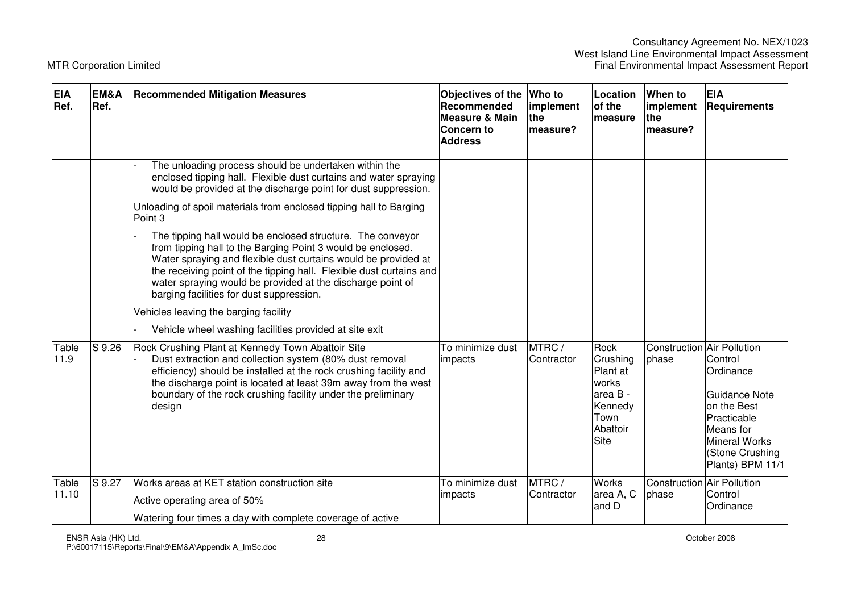| <b>EIA</b><br>Ref. | EM&A<br>Ref. | <b>Recommended Mitigation Measures</b>                                                                                                                                                                                                                                                                                                     | Objectives of the<br>Recommended<br>Measure & Main<br>Concern to<br><b>Address</b> | Who to<br>implement<br>the<br>measure? | Location<br>of the<br><b>Imeasure</b>                                                    | When to<br>implement<br>the<br>measure?    | <b>EIA</b><br>Requirements                                                                                                                              |
|--------------------|--------------|--------------------------------------------------------------------------------------------------------------------------------------------------------------------------------------------------------------------------------------------------------------------------------------------------------------------------------------------|------------------------------------------------------------------------------------|----------------------------------------|------------------------------------------------------------------------------------------|--------------------------------------------|---------------------------------------------------------------------------------------------------------------------------------------------------------|
|                    |              | The unloading process should be undertaken within the<br>enclosed tipping hall. Flexible dust curtains and water spraying<br>would be provided at the discharge point for dust suppression.<br>Unloading of spoil materials from enclosed tipping hall to Barging<br>Point 3<br>The tipping hall would be enclosed structure. The conveyor |                                                                                    |                                        |                                                                                          |                                            |                                                                                                                                                         |
|                    |              | from tipping hall to the Barging Point 3 would be enclosed.<br>Water spraying and flexible dust curtains would be provided at<br>the receiving point of the tipping hall. Flexible dust curtains and<br>water spraying would be provided at the discharge point of<br>barging facilities for dust suppression.                             |                                                                                    |                                        |                                                                                          |                                            |                                                                                                                                                         |
|                    |              | Vehicles leaving the barging facility<br>Vehicle wheel washing facilities provided at site exit                                                                                                                                                                                                                                            |                                                                                    |                                        |                                                                                          |                                            |                                                                                                                                                         |
| Table<br>11.9      | S 9.26       | Rock Crushing Plant at Kennedy Town Abattoir Site<br>Dust extraction and collection system (80% dust removal<br>efficiency) should be installed at the rock crushing facility and<br>the discharge point is located at least 39m away from the west<br>boundary of the rock crushing facility under the preliminary<br>design              | To minimize dust<br>impacts                                                        | MTRC/<br>Contractor                    | Rock<br>Crushing<br>Plant at<br>works<br>area B -<br>Kennedy<br>Town<br>Abattoir<br>Site | Construction Air Pollution<br>phase        | Control<br>Ordinance<br><b>Guidance Note</b><br>on the Best<br>Practicable<br>Means for<br><b>Mineral Works</b><br>(Stone Crushing)<br>Plants) BPM 11/1 |
| Table<br>11.10     | S 9.27       | Works areas at KET station construction site<br>Active operating area of 50%<br>Watering four times a day with complete coverage of active                                                                                                                                                                                                 | To minimize dust<br>impacts                                                        | MTRC/<br>Contractor                    | <b>Works</b><br>area A, C<br>and D                                                       | <b>Construction Air Pollution</b><br>phase | Control<br>Ordinance                                                                                                                                    |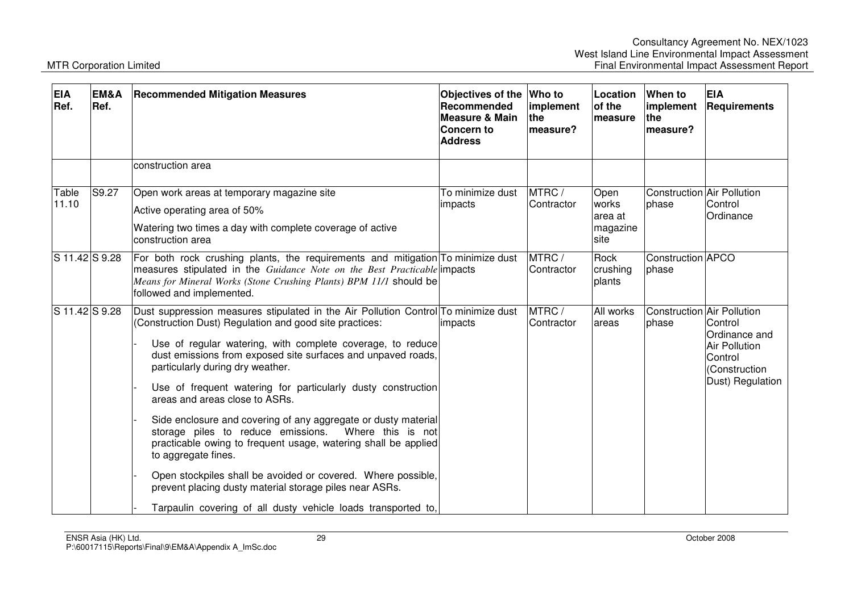| <b>EIA</b><br>Ref. | EM&A<br>Ref.       | <b>Recommended Mitigation Measures</b>                                                                                                                                                                                                                                                                                                                                                                                                                                                                                                                                                                                                                                                                                                                                                                                              | Objectives of the Who to<br>Recommended<br><b>Measure &amp; Main</b><br><b>Concern to</b><br><b>Address</b> | implement<br><b>the</b><br>lmeasure? | Location<br>of the<br>measure                 | When to<br>implement<br><b>Ithe</b><br>measure? | <b>EIA</b><br>Requirements                                                                       |
|--------------------|--------------------|-------------------------------------------------------------------------------------------------------------------------------------------------------------------------------------------------------------------------------------------------------------------------------------------------------------------------------------------------------------------------------------------------------------------------------------------------------------------------------------------------------------------------------------------------------------------------------------------------------------------------------------------------------------------------------------------------------------------------------------------------------------------------------------------------------------------------------------|-------------------------------------------------------------------------------------------------------------|--------------------------------------|-----------------------------------------------|-------------------------------------------------|--------------------------------------------------------------------------------------------------|
|                    |                    | construction area                                                                                                                                                                                                                                                                                                                                                                                                                                                                                                                                                                                                                                                                                                                                                                                                                   |                                                                                                             |                                      |                                               |                                                 |                                                                                                  |
| Table<br>11.10     | $\overline{S9.27}$ | Open work areas at temporary magazine site<br>Active operating area of 50%<br>Watering two times a day with complete coverage of active<br>construction area                                                                                                                                                                                                                                                                                                                                                                                                                                                                                                                                                                                                                                                                        | To minimize dust<br>impacts                                                                                 | MTRC/<br>Contractor                  | Open<br>works<br>larea at<br>magazine<br>site | <b>Construction Air Pollution</b><br>phase      | Control<br>Ordinance                                                                             |
| S 11.42 S 9.28     |                    | For both rock crushing plants, the requirements and mitigation To minimize dust<br>measures stipulated in the Guidance Note on the Best Practicable impacts<br>Means for Mineral Works (Stone Crushing Plants) BPM 11/1 should be<br>followed and implemented.                                                                                                                                                                                                                                                                                                                                                                                                                                                                                                                                                                      |                                                                                                             | MTRC /<br>Contractor                 | Rock<br>crushing<br>plants                    | Construction <b>APCO</b><br>phase               |                                                                                                  |
| S 11.42 S 9.28     |                    | Dust suppression measures stipulated in the Air Pollution Control To minimize dust<br>(Construction Dust) Regulation and good site practices:<br>Use of regular watering, with complete coverage, to reduce<br>dust emissions from exposed site surfaces and unpaved roads,<br>particularly during dry weather.<br>Use of frequent watering for particularly dusty construction<br>areas and areas close to ASRs.<br>Side enclosure and covering of any aggregate or dusty material<br>storage piles to reduce emissions.<br>Where this is not<br>practicable owing to frequent usage, watering shall be applied<br>to aggregate fines.<br>Open stockpiles shall be avoided or covered. Where possible,<br>prevent placing dusty material storage piles near ASRs.<br>Tarpaulin covering of all dusty vehicle loads transported to, | impacts                                                                                                     | MTRC/<br>Contractor                  | All works<br>areas                            | Construction Air Pollution<br>phase             | Control<br>Ordinance and<br><b>Air Pollution</b><br>Control<br>(Construction<br>Dust) Regulation |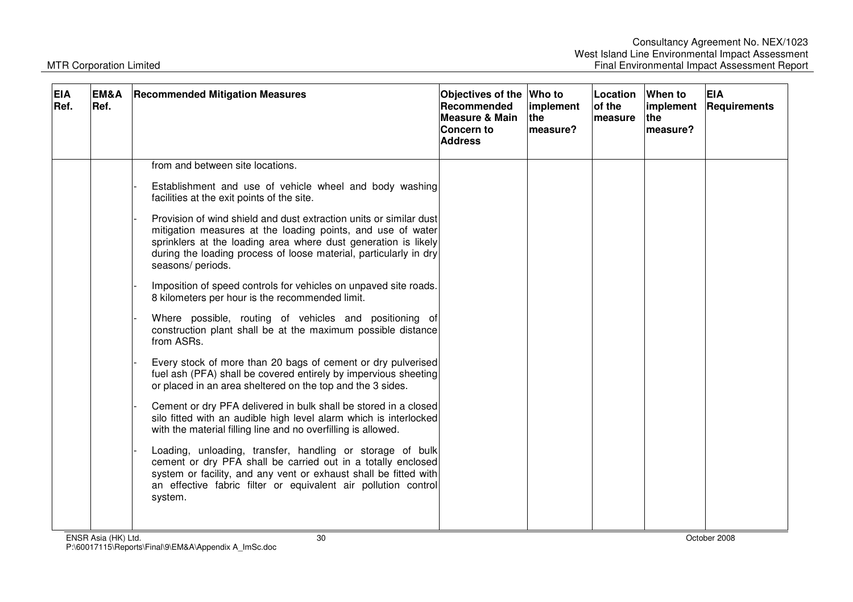| <b>EIA</b><br>EM&A<br>Ref.<br>Ref. | <b>Recommended Mitigation Measures</b>                                                                                                                                                                                                                                                                                                                                                                                                                                                                                                                                                                                                                                                                                                                                                                                                                                                                                                                                        | Objectives of the<br>Recommended<br><b>Measure &amp; Main</b><br>Concern to<br><b>Address</b> | <b>Who to</b><br>implement<br>the<br>measure? | Location<br>of the<br><b>Imeasure</b> | When to<br>implement<br>lthe<br>measure? | <b>EIA</b><br>Requirements |
|------------------------------------|-------------------------------------------------------------------------------------------------------------------------------------------------------------------------------------------------------------------------------------------------------------------------------------------------------------------------------------------------------------------------------------------------------------------------------------------------------------------------------------------------------------------------------------------------------------------------------------------------------------------------------------------------------------------------------------------------------------------------------------------------------------------------------------------------------------------------------------------------------------------------------------------------------------------------------------------------------------------------------|-----------------------------------------------------------------------------------------------|-----------------------------------------------|---------------------------------------|------------------------------------------|----------------------------|
|                                    | from and between site locations.<br>Establishment and use of vehicle wheel and body washing<br>facilities at the exit points of the site.<br>Provision of wind shield and dust extraction units or similar dust<br>mitigation measures at the loading points, and use of water<br>sprinklers at the loading area where dust generation is likely<br>during the loading process of loose material, particularly in dry<br>seasons/ periods.<br>Imposition of speed controls for vehicles on unpaved site roads.<br>8 kilometers per hour is the recommended limit.<br>Where possible, routing of vehicles and positioning of<br>construction plant shall be at the maximum possible distance<br>from ASRs.<br>Every stock of more than 20 bags of cement or dry pulverised<br>fuel ash (PFA) shall be covered entirely by impervious sheeting<br>or placed in an area sheltered on the top and the 3 sides.<br>Cement or dry PFA delivered in bulk shall be stored in a closed |                                                                                               |                                               |                                       |                                          |                            |
|                                    | silo fitted with an audible high level alarm which is interlocked<br>with the material filling line and no overfilling is allowed.<br>Loading, unloading, transfer, handling or storage of bulk<br>cement or dry PFA shall be carried out in a totally enclosed<br>system or facility, and any vent or exhaust shall be fitted with<br>an effective fabric filter or equivalent air pollution control<br>system.                                                                                                                                                                                                                                                                                                                                                                                                                                                                                                                                                              |                                                                                               |                                               |                                       |                                          |                            |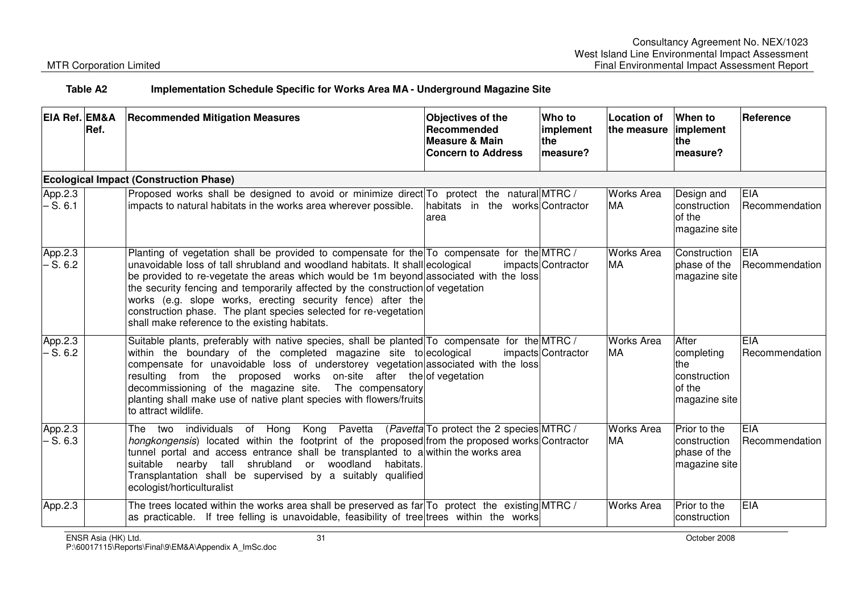### **Table A2 Implementation Schedule Specific for Works Area MA - Underground Magazine Site**

| <b>EIA Ref. EM&amp;A</b> | Ref. | <b>Recommended Mitigation Measures</b>                                                                                                                                                                                                                                                                                                                                                                                                                                                                                                        | <b>Objectives of the</b><br><b>Recommended</b><br><b>Measure &amp; Main</b><br><b>Concern to Address</b> | Who to<br>implement<br>the<br>measure? | <b>Location of</b><br>the measure | When to<br>implement<br><b>the</b><br>lmeasure?                       | <b>Reference</b>             |
|--------------------------|------|-----------------------------------------------------------------------------------------------------------------------------------------------------------------------------------------------------------------------------------------------------------------------------------------------------------------------------------------------------------------------------------------------------------------------------------------------------------------------------------------------------------------------------------------------|----------------------------------------------------------------------------------------------------------|----------------------------------------|-----------------------------------|-----------------------------------------------------------------------|------------------------------|
|                          |      | <b>Ecological Impact (Construction Phase)</b>                                                                                                                                                                                                                                                                                                                                                                                                                                                                                                 |                                                                                                          |                                        |                                   |                                                                       |                              |
| App.2.3<br>$- S. 6.1$    |      | Proposed works shall be designed to avoid or minimize direct To protect the natural MTRC /<br>impacts to natural habitats in the works area wherever possible.                                                                                                                                                                                                                                                                                                                                                                                | habitats in the works Contractor<br>area                                                                 |                                        | <b>Works Area</b><br><b>MA</b>    | Design and<br>construction<br>of the<br>magazine site                 | <b>EIA</b><br>Recommendation |
| App.2.3<br>$-S.6.2$      |      | Planting of vegetation shall be provided to compensate for the To compensate for the MTRC/<br>unavoidable loss of tall shrubland and woodland habitats. It shall ecological<br>be provided to re-vegetate the areas which would be 1m beyond associated with the loss<br>the security fencing and temporarily affected by the construction of vegetation<br>works (e.g. slope works, erecting security fence) after the<br>construction phase. The plant species selected for re-vegetation<br>shall make reference to the existing habitats. |                                                                                                          | impacts Contractor                     | <b>Works Area</b><br><b>MA</b>    | Construction<br>phase of the<br>magazine site                         | EIA<br>Recommendation        |
| App.2.3<br>$-S.6.2$      |      | Suitable plants, preferably with native species, shall be planted To compensate for the MTRC /<br>within the boundary of the completed magazine site to ecological<br>compensate for unavoidable loss of understorey vegetation associated with the loss<br>resulting from the proposed works on-site after the of vegetation<br>decommissioning of the magazine site. The compensatory<br>planting shall make use of native plant species with flowers/fruits<br>to attract wildlife.                                                        |                                                                                                          | impacts Contractor                     | <b>Works Area</b><br><b>MA</b>    | After<br>completing<br>the<br>construction<br>of the<br>magazine site | EIA<br>Recommendation        |
| App.2.3<br>$- S. 6.3$    |      | The two individuals of Hong Kong Pavetta (Pavetta To protect the 2 species MTRC /<br>hongkongensis) located within the footprint of the proposed from the proposed works Contractor<br>tunnel portal and access entrance shall be transplanted to a within the works area<br>suitable nearby tall shrubland or woodland habitats.<br>Transplantation shall be supervised by a suitably qualified<br>ecologist/horticulturalist                                                                                                                |                                                                                                          |                                        | <b>Works Area</b><br><b>MA</b>    | Prior to the<br>construction<br>phase of the<br>magazine site         | <b>EIA</b><br>Recommendation |
| App.2.3                  |      | The trees located within the works area shall be preserved as far $To$ protect the existing MTRC /<br>as practicable. If tree felling is unavoidable, feasibility of tree trees within the works                                                                                                                                                                                                                                                                                                                                              |                                                                                                          |                                        | <b>Works Area</b>                 | Prior to the<br>construction                                          | EIA                          |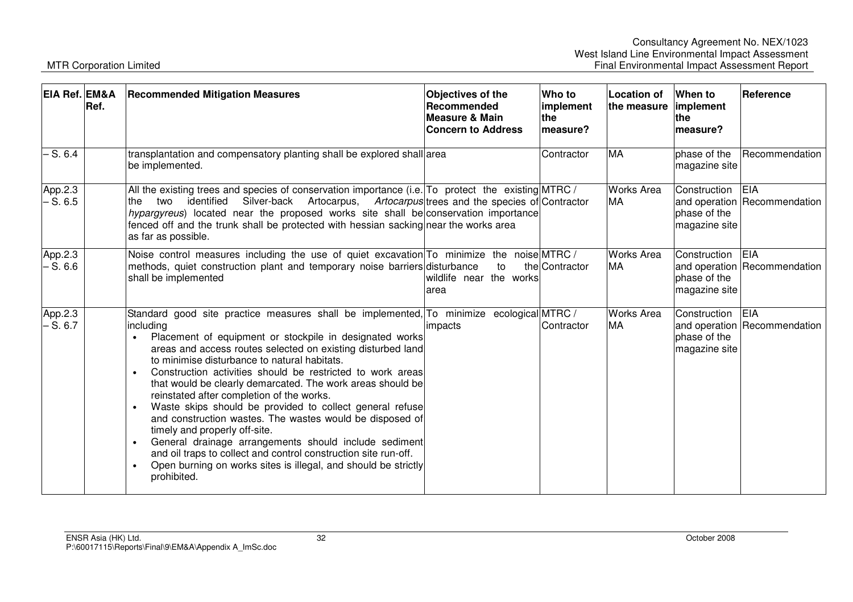| EIA Ref. EM&A         | Ref. | <b>Recommended Mitigation Measures</b>                                                                                                                                                                                                                                                                                                                                                                                                                                                                                                                                                                                                                                                                                                                                                                                                                   | <b>Objectives of the</b><br><b>Recommended</b><br>Measure & Main<br><b>Concern to Address</b> | Who to<br>implement<br>the<br>measure? | <b>Location of</b><br>the measure | When to<br>implement<br>the<br>measure?       | Reference                                  |
|-----------------------|------|----------------------------------------------------------------------------------------------------------------------------------------------------------------------------------------------------------------------------------------------------------------------------------------------------------------------------------------------------------------------------------------------------------------------------------------------------------------------------------------------------------------------------------------------------------------------------------------------------------------------------------------------------------------------------------------------------------------------------------------------------------------------------------------------------------------------------------------------------------|-----------------------------------------------------------------------------------------------|----------------------------------------|-----------------------------------|-----------------------------------------------|--------------------------------------------|
| $-S.6.4$              |      | transplantation and compensatory planting shall be explored shall area<br>be implemented.                                                                                                                                                                                                                                                                                                                                                                                                                                                                                                                                                                                                                                                                                                                                                                |                                                                                               | Contractor                             | <b>MA</b>                         | phase of the<br>magazine site                 | Recommendation                             |
| App.2.3<br>$- S. 6.5$ |      | All the existing trees and species of conservation importance (i.e. To protect the existing MTRC /<br>Silver-back Artocarpus, Artocarpus trees and the species of Contractor<br>identified<br>two<br>the<br>hypargyreus) located near the proposed works site shall be conservation importance<br>fenced off and the trunk shall be protected with hessian sacking near the works area<br>as far as possible.                                                                                                                                                                                                                                                                                                                                                                                                                                            |                                                                                               |                                        | <b>Works Area</b><br><b>MA</b>    | Construction<br>phase of the<br>magazine site | <b>EIA</b><br>and operation Recommendation |
| App.2.3<br>$- S. 6.6$ |      | Noise control measures including the use of quiet excavation To minimize the noise MTRC /<br>methods, quiet construction plant and temporary noise barriers disturbance<br>shall be implemented                                                                                                                                                                                                                                                                                                                                                                                                                                                                                                                                                                                                                                                          | to<br>wildlife near the works<br>area                                                         | the Contractor                         | <b>Works Area</b><br>MA           | Construction<br>phase of the<br>magazine site | <b>EIA</b><br>and operation Recommendation |
| App.2.3<br>$- S. 6.7$ |      | Standard good site practice measures shall be implemented, To minimize ecological MTRC /<br>including<br>Placement of equipment or stockpile in designated works<br>areas and access routes selected on existing disturbed land<br>to minimise disturbance to natural habitats.<br>Construction activities should be restricted to work areas<br>$\bullet$<br>that would be clearly demarcated. The work areas should be<br>reinstated after completion of the works.<br>Waste skips should be provided to collect general refuse<br>$\bullet$<br>and construction wastes. The wastes would be disposed of<br>timely and properly off-site.<br>General drainage arrangements should include sediment<br>and oil traps to collect and control construction site run-off.<br>Open burning on works sites is illegal, and should be strictly<br>prohibited. | limpacts                                                                                      | Contractor                             | <b>Works Area</b><br><b>MA</b>    | Construction<br>phase of the<br>magazine site | <b>EIA</b><br>and operation Recommendation |